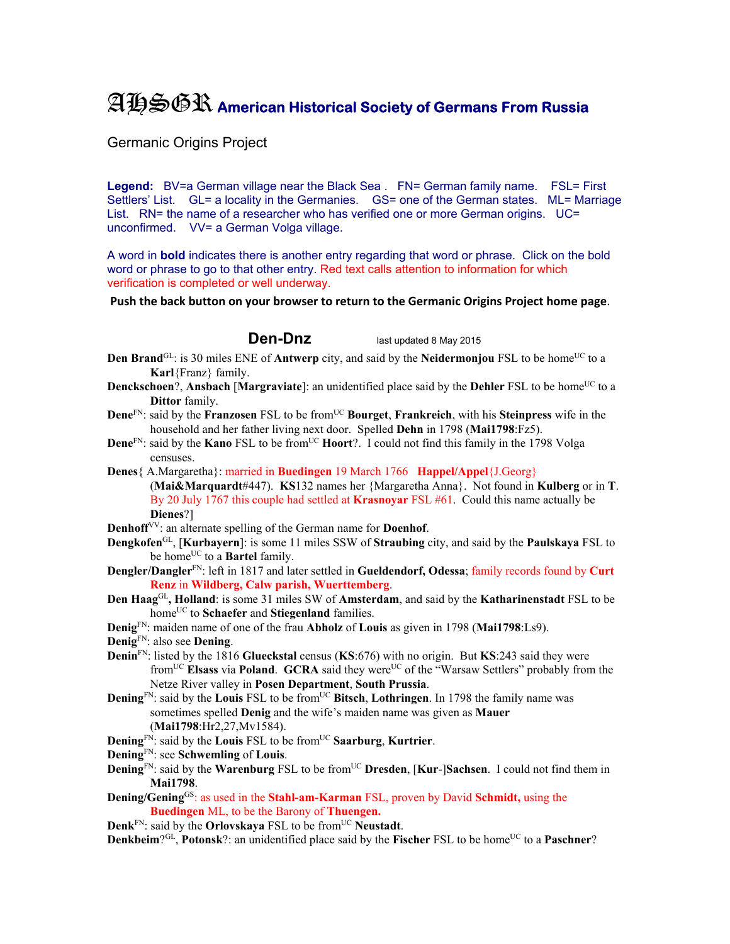## AHSGR **American Historical Society of Germans From Russia**

Germanic Origins Project

Legend: BV=a German village near the Black Sea . FN= German family name. FSL= First Settlers' List. GL= a locality in the Germanies. GS= one of the German states. ML= Marriage List. RN= the name of a researcher who has verified one or more German origins. UC= unconfirmed. VV= a German Volga village.

A word in **bold** indicates there is another entry regarding that word or phrase. Click on the bold word or phrase to go to that other entry. Red text calls attention to information for which verification is completed or well underway.

**Push the back button on your browser to return to the Germanic Origins Project home page**.

**Den-Dnz** last updated 8 May 2015

- **Den Brand**<sup>GL</sup>: is 30 miles ENE of **Antwerp** city, and said by the **Neidermoniou** FSL to be home<sup>UC</sup> to a **Karl**{Franz} family.
- **Denckschoen?, Ansbach [Margraviate**]: an unidentified place said by the **Dehler** FSL to be home<sup>UC</sup> to a **Dittor** family.
- **Dene**<sup>FN</sup>: said by the **Franzosen** FSL to be from<sup>UC</sup> **Bourget**, **Frankreich**, with his **Steinpress** wife in the household and her father living next door. Spelled **Dehn** in 1798 (**Mai1798**:Fz5).
- **Dene**<sup>FN</sup>: said by the **Kano** FSL to be from<sup>UC</sup> **Hoort**?. I could not find this family in the 1798 Volga censuses.
- **Denes**{ A.Margaretha}: married in **Buedingen** 19 March 1766 **Happel/Appel**{J.Georg} (**Mai&Marquardt**#447). **KS**132 names her {Margaretha Anna}. Not found in **Kulberg** or in **T**. By 20 July 1767 this couple had settled at **Krasnoyar** FSL #61. Could this name actually be **Dienes**?]
- **Denhoff**<sup>VV</sup>: an alternate spelling of the German name for **Doenhof**.
- **Dengkofen**GL, [**Kurbayern**]: is some 11 miles SSW of **Straubing** city, and said by the **Paulskaya** FSL to be home<sup>UC</sup> to a **Bartel** family.
- **Dengler/Dangler**FN: left in 1817 and later settled in **Gueldendorf, Odessa**; family records found by **Curt Renz** in **Wildberg, Calw parish, Wuerttemberg**.
- **Den Haag**GL**, Holland**: is some 31 miles SW of **Amsterdam**, and said by the **Katharinenstadt** FSL to be home<sup>UC</sup> to **Schaefer** and **Stiegenland** families.
- **Denig**FN: maiden name of one of the frau **Abholz** of **Louis** as given in 1798 (**Mai1798**:Ls9).
- **Denig**FN: also see **Dening**.
- **Denin**FN: listed by the 1816 **Glueckstal** census (**KS**:676) with no origin. But **KS**:243 said they were from<sup>UC</sup> Elsass via Poland. **GCRA** said they were<sup>UC</sup> of the "Warsaw Settlers" probably from the Netze River valley in **Posen Department**, **South Prussia**.
- **Dening**<sup>FN</sup>: said by the **Louis** FSL to be from<sup>UC</sup> Bitsch, **Lothringen**. In 1798 the family name was sometimes spelled **Denig** and the wife's maiden name was given as **Mauer** (**Mai1798**:Hr2,27,Mv1584).
- **Dening**FN: said by the **Louis** FSL to be fromUC **Saarburg**, **Kurtrier**.
- **Dening**FN: see **Schwemling** of **Louis**.
- **Dening**<sup>FN</sup>: said by the **Warenburg** FSL to be from<sup>UC</sup> **Dresden**, [**Kur-**]Sachsen. I could not find them in **Mai1798**.
- **Dening/Gening**GS: as used in the **Stahl-am-Karman** FSL, proven by David **Schmidt,** using the **Buedingen** ML, to be the Barony of **Thuengen.**
- **Denk**<sup>FN</sup>: said by the **Orlovskaya** FSL to be from<sup>UC</sup> **Neustadt**.

**Denkbeim**?<sup>GL</sup>, **Potonsk**?: an unidentified place said by the **Fischer** FSL to be home<sup>UC</sup> to a **Paschner**?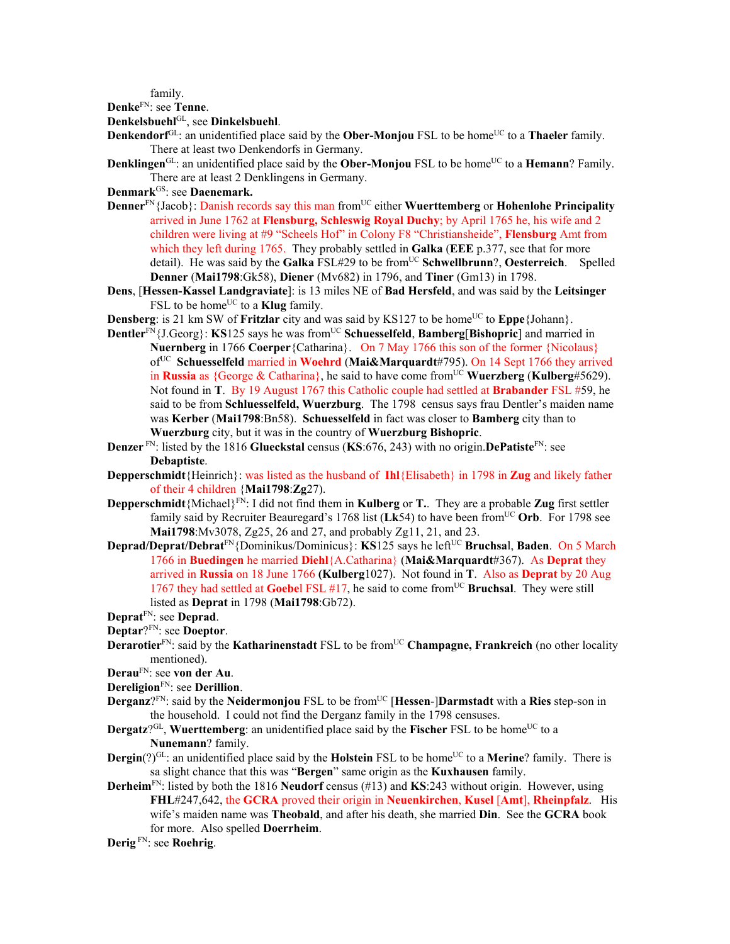family.

**Denke**FN: see **Tenne**.

**Denkelsbuehl**GL, see **Dinkelsbuehl**.

**Denkendorf**<sup>GL</sup>: an unidentified place said by the **Ober-Monjou** FSL to be home<sup>UC</sup> to a **Thaeler** family. There at least two Denkendorfs in Germany.

**Denklingen**<sup>GL</sup>: an unidentified place said by the **Ober-Monjou** FSL to be home<sup>UC</sup> to a **Hemann**? Family. There are at least 2 Denklingens in Germany.

**Denmark**GS: see **Daenemark.** 

**Denner**<sup>FN</sup>{Jacob}: Danish records say this man from<sup>UC</sup> either **Wuerttemberg** or **Hohenlohe Principality** arrived in June 1762 at **Flensburg, Schleswig Royal Duchy**; by April 1765 he, his wife and 2 children were living at #9 "Scheels Hof" in Colony F8 "Christiansheide", **Flensburg** Amt from which they left during 1765. They probably settled in **Galka** (**EEE** p.377, see that for more detail). He was said by the Galka FSL#29 to be from<sup>UC</sup> Schwellbrunn?, Oesterreich. Spelled **Denner** (**Mai1798**:Gk58), **Diener** (Mv682) in 1796, and **Tiner** (Gm13) in 1798.

**Dens**, [**Hessen-Kassel Landgraviate**]: is 13 miles NE of **Bad Hersfeld**, and was said by the **Leitsinger** FSL to be home<sup>UC</sup> to a **Klug** family.

**Densberg**: is 21 km SW of **Fritzlar** city and was said by KS127 to be home<sup>UC</sup> to **Eppe**{Johann}.

- **Dentler**<sup>FN</sup>{J.Georg}: **KS**125 says he was from<sup>UC</sup> **Schuesselfeld**, **Bamberg**[Bishopric] and married in **Nuernberg** in 1766 **Coerper**{Catharina}. On 7 May 1766 this son of the former {Nicolaus} ofUC **Schuesselfeld** married in **Woehrd** (**Mai&Marquardt**#795). On 14 Sept 1766 they arrived in **Russia** as {George & Catharina}, he said to have come from<sup>UC</sup> **Wuerzberg** (**Kulberg**#5629). Not found in **T**. By 19 August 1767 this Catholic couple had settled at **Brabander** FSL #59, he said to be from **Schluesselfeld, Wuerzburg**. The 1798 census says frau Dentler's maiden name was **Kerber** (**Mai1798**:Bn58). **Schuesselfeld** in fact was closer to **Bamberg** city than to **Wuerzburg** city, but it was in the country of **Wuerzburg Bishopric**.
- **Denzer** FN: listed by the 1816 **Glueckstal** census (**KS**:676, 243) with no origin.**DePatiste**FN: see **Debaptiste**.
- **Depperschmidt**{Heinrich}: was listed as the husband of **Ihl**{Elisabeth} in 1798 in **Zug** and likely father of their 4 children {**Mai1798**:**Zg**27).
- **Depperschmidt**{Michael}<sup>FN</sup>: I did not find them in **Kulberg** or **T.** They are a probable **Zug** first settler family said by Recruiter Beauregard's 1768 list (Lk54) to have been from<sup>UC</sup> Orb. For 1798 see **Mai1798**:Mv3078, Zg25, 26 and 27, and probably Zg11, 21, and 23.
- **Deprad/Deprat/Debrat**FN{Dominikus/Dominicus}: **KS**125 says he leftUC **Bruchsa**l, **Baden**. On 5 March 1766 in **Buedingen** he married **Diehl**{A.Catharina} (**Mai&Marquardt**#367). As **Deprat** they arrived in **Russia** on 18 June 1766 **(Kulberg**1027). Not found in **T**. Also as **Deprat** by 20 Aug 1767 they had settled at **Goebe**l FSL #17, he said to come fromUC **Bruchsal**. They were still listed as **Deprat** in 1798 (**Mai1798**:Gb72).

- **Deptar**?FN: see **Doeptor**.
- **Derarotier**<sup>FN</sup>: said by the **Katharinenstadt** FSL to be from<sup>UC</sup> **Champagne, Frankreich** (no other locality mentioned).
- **Derau**FN: see **von der Au**.
- **Dereligion**FN: see **Derillion**.
- **Derganz**?<sup>FN</sup>: said by the **Neidermonjou** FSL to be from<sup>UC</sup> [**Hessen-**]Darmstadt with a Ries step-son in the household. I could not find the Derganz family in the 1798 censuses.
- **Dergatz**?<sup>GL</sup>, **Wuerttemberg**: an unidentified place said by the **Fischer** FSL to be home<sup>UC</sup> to a **Nunemann**? family.
- **Dergin**(?)<sup>GL</sup>: an unidentified place said by the **Holstein** FSL to be home<sup>UC</sup> to a **Merine**? family. There is sa slight chance that this was "**Bergen**" same origin as the **Kuxhausen** family.
- **Derheim**FN: listed by both the 1816 **Neudorf** census (#13) and **KS**:243 without origin. However, using **FHL**#247,642, the **GCRA** proved their origin in **Neuenkirchen**, **Kusel** [**Amt**], **Rheinpfalz**. His wife's maiden name was **Theobald**, and after his death, she married **Din**. See the **GCRA** book for more. Also spelled **Doerrheim**.
- **Derig** FN: see **Roehrig**.

**Deprat**FN: see **Deprad**.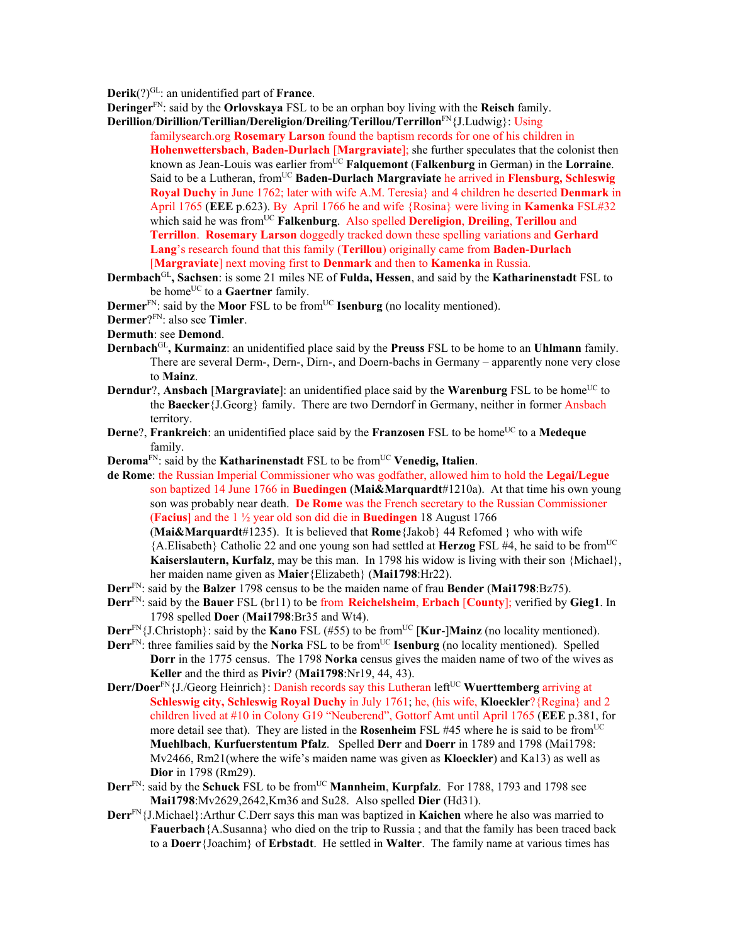**Derik**(?)<sup>GL</sup>: an unidentified part of **France**.

**Deringer**FN: said by the **Orlovskaya** FSL to be an orphan boy living with the **Reisch** family.

**Derillion**/**Dirillion/Terillian/Dereligion**/**Dreiling**/**Terillou/Terrillon**FN{J.Ludwig}: Using

familysearch.org **Rosemary Larson** found the baptism records for one of his children in **Hohenwettersbach**, **Baden-Durlach** [**Margraviate**]; she further speculates that the colonist then known as Jean-Louis was earlier from<sup>UC</sup> **Falquemont** (**Falkenburg** in German) in the **Lorraine**. Said to be a Lutheran, from<sup>UC</sup> Baden-Durlach Margraviate he arrived in Flensburg, Schleswig **Royal Duchy** in June 1762; later with wife A.M. Teresia} and 4 children he deserted **Denmark** in April 1765 (**EEE** p.623). By April 1766 he and wife {Rosina} were living in **Kamenka** FSL#32 which said he was fromUC **Falkenburg**. Also spelled **Dereligion**, **Dreiling**, **Terillou** and **Terrillon**. **Rosemary Larson** doggedly tracked down these spelling variations and **Gerhard Lang**'s research found that this family (**Terillou**) originally came from **Baden-Durlach** [**Margraviate**] next moving first to **Denmark** and then to **Kamenka** in Russia.

**Dermbach**GL**, Sachsen**: is some 21 miles NE of **Fulda, Hessen**, and said by the **Katharinenstadt** FSL to be home<sup>UC</sup> to a **Gaertner** family.

- **Dermer**<sup>FN</sup>: said by the **Moor** FSL to be from<sup>UC</sup> **Isenburg** (no locality mentioned).
- **Dermer**?FN: also see **Timler**.
- **Dermuth**: see **Demond**.
- **Dernbach**GL**, Kurmainz**: an unidentified place said by the **Preuss** FSL to be home to an **Uhlmann** family. There are several Derm-, Dern-, Dirn-, and Doern-bachs in Germany – apparently none very close to **Mainz**.
- **Derndur?, Ansbach [Margraviate]:** an unidentified place said by the **Warenburg** FSL to be home<sup>UC</sup> to the **Baecker**{J.Georg} family. There are two Derndorf in Germany, neither in former Ansbach territory.
- **Derne**?, **Frankreich**: an unidentified place said by the **Franzosen** FSL to be home<sup>UC</sup> to a **Medeque** family.
- **Deroma**<sup>FN</sup>: said by the **Katharinenstadt** FSL to be from<sup>UC</sup> **Venedig, Italien**.

**de Rome**: the Russian Imperial Commissioner who was godfather, allowed him to hold the **Legai/Legue** son baptized 14 June 1766 in **Buedingen** (**Mai&Marquardt**#1210a). At that time his own young son was probably near death. **De Rome** was the French secretary to the Russian Commissioner (**Facius]** and the 1 ½ year old son did die in **Buedingen** 18 August 1766

(**Mai&Marquardt**#1235). It is believed that **Rome**{Jakob} 44 Refomed } who with wife {A.Elisabeth} Catholic 22 and one young son had settled at **Herzog** FSL #4, he said to be fromUC **Kaiserslautern, Kurfalz**, may be this man. In 1798 his widow is living with their son {Michael}, her maiden name given as **Maier**{Elizabeth} (**Mai1798**:Hr22).

- **Derr**FN: said by the **Balzer** 1798 census to be the maiden name of frau **Bender** (**Mai1798**:Bz75).
- **Derr**FN: said by the **Bauer** FSL (br11) to be from **Reichelsheim**, **Erbach** [**County**]; verified by **Gieg1**. In 1798 spelled **Doer** (**Mai1798**:Br35 and Wt4).
- **Derr**<sup>FN</sup>{J.Christoph}: said by the **Kano** FSL (#55) to be from<sup>UC</sup> [**Kur-**]**Mainz** (no locality mentioned).
- **Derr**<sup>FN</sup>: three families said by the **Norka** FSL to be from<sup>UC</sup> **Isenburg** (no locality mentioned). Spelled **Dorr** in the 1775 census. The 1798 **Norka** census gives the maiden name of two of the wives as **Keller** and the third as **Pivir**? (**Mai1798**:Nr19, 44, 43).
- **Derr/Doer**<sup>FN</sup>{J./Georg Heinrich}: Danish records say this Lutheran left<sup>UC</sup> Wuerttemberg arriving at **Schleswig city, Schleswig Royal Duchy** in July 1761; he, (his wife, **Kloeckler**?{Regina} and 2 children lived at #10 in Colony G19 "Neuberend", Gottorf Amt until April 1765 (**EEE** p.381, for more detail see that). They are listed in the **Rosenheim** FSL #45 where he is said to be from<sup>UC</sup> **Muehlbach**, **Kurfuerstentum Pfalz**. Spelled **Derr** and **Doerr** in 1789 and 1798 (Mai1798: Mv2466, Rm21(where the wife's maiden name was given as **Kloeckler**) and Ka13) as well as **Dior** in 1798 (Rm29).
- **Derr**FN: said by the **Schuck** FSL to be fromUC **Mannheim**, **Kurpfalz**. For 1788, 1793 and 1798 see **Mai1798**:Mv2629,2642,Km36 and Su28. Also spelled **Dier** (Hd31).
- **Derr**FN{J.Michael}:Arthur C.Derr says this man was baptized in **Kaichen** where he also was married to **Fauerbach**{A.Susanna} who died on the trip to Russia ; and that the family has been traced back to a **Doerr**{Joachim} of **Erbstadt**. He settled in **Walter**. The family name at various times has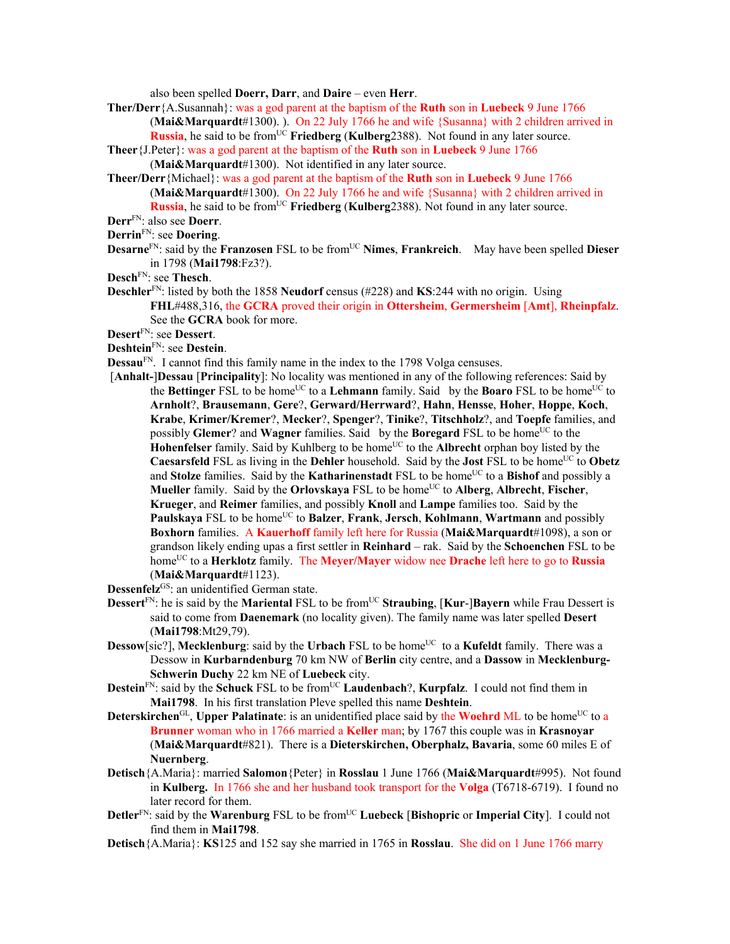also been spelled **Doerr, Darr**, and **Daire** – even **Herr**.

**Ther/Derr**{A.Susannah}: was a god parent at the baptism of the **Ruth** son in **Luebeck** 9 June 1766 (**Mai&Marquardt**#1300). ). On 22 July 1766 he and wife {Susanna} with 2 children arrived in **Russia**, he said to be from<sup>UC</sup> **Friedberg** (**Kulberg**2388). Not found in any later source.

- **Theer**{J.Peter}: was a god parent at the baptism of the **Ruth** son in **Luebeck** 9 June 1766
	- (**Mai&Marquardt**#1300). Not identified in any later source.
- **Theer/Derr**{Michael}: was a god parent at the baptism of the **Ruth** son in **Luebeck** 9 June 1766 (**Mai&Marquardt**#1300). On 22 July 1766 he and wife {Susanna} with 2 children arrived in **Russia**, he said to be from<sup>UC</sup> **Friedberg** (**Kulberg**2388). Not found in any later source.
- **Derr**FN: also see **Doerr**.
- **Derrin**FN: see **Doering**.
- **Desarne**<sup>FN</sup>: said by the **Franzosen** FSL to be from<sup>UC</sup> **Nimes**, **Frankreich**. May have been spelled **Dieser** in 1798 (**Mai1798**:Fz3?).
- **Desch**FN: see **Thesch**.
- **Deschler**FN: listed by both the 1858 **Neudorf** census (#228) and **KS**:244 with no origin. Using **FHL**#488,316, the **GCRA** proved their origin in **Ottersheim**, **Germersheim** [**Amt**], **Rheinpfalz**. See the **GCRA** book for more.

**Desert**FN: see **Dessert**.

- **Deshtein**FN: see **Destein**.
- **Dessau**<sup>FN</sup>. I cannot find this family name in the index to the 1798 Volga censuses.
- [**Anhalt-**]**Dessau** [**Principality**]: No locality was mentioned in any of the following references: Said by the **Bettinger** FSL to be home<sup>UC</sup> to a **Lehmann** family. Said by the **Boaro** FSL to be home<sup>UC</sup> to **Arnholt**?, **Brausemann**, **Gere**?, **Gerward/Herrward**?, **Hahn**, **Hensse**, **Hoher**, **Hoppe**, **Koch**, **Krabe**, **Krimer/Kremer**?, **Mecker**?, **Spenger**?, **Tinike**?, **Titschholz**?, and **Toepfe** families, and possibly **Glemer**? and **Wagner** families. Said by the **Boregard** FSL to be home<sup>UC</sup> to the Hohenfelser family. Said by Kuhlberg to be home<sup>UC</sup> to the **Albrecht** orphan boy listed by the **Caesarsfeld** FSL as living in the **Dehler** household. Said by the **Jost** FSL to be home<sup>UC</sup> to **Obetz** and **Stolze** families. Said by the **Katharinenstadt** FSL to be home<sup>UC</sup> to a **Bishof** and possibly a **Mueller** family. Said by the **Orlovskaya** FSL to be home<sup>UC</sup> to **Alberg**, **Albrecht**, **Fischer**, **Krueger**, and **Reimer** families, and possibly **Knoll** and **Lampe** families too. Said by the **Paulskaya** FSL to be homeUC to **Balzer**, **Frank**, **Jersch**, **Kohlmann**, **Wartmann** and possibly **Boxhorn** families. A **Kauerhoff** family left here for Russia (**Mai&Marquardt**#1098), a son or grandson likely ending upas a first settler in **Reinhard** – rak. Said by the **Schoenchen** FSL to be homeUC to a **Herklotz** family. The **Meyer/Mayer** widow nee **Drache** left here to go to **Russia** (**Mai&Marquardt**#1123).
- **Dessenfelz**GS: an unidentified German state.
- **Dessert**<sup>FN</sup>: he is said by the **Mariental** FSL to be from<sup>UC</sup> Straubing, [Kur-]Bayern while Frau Dessert is said to come from **Daenemark** (no locality given). The family name was later spelled **Desert** (**Mai1798**:Mt29,79).
- **Dessow**[sic?], Mecklenburg: said by the Urbach FSL to be home<sup>UC</sup> to a Kufeldt family. There was a Dessow in **Kurbarndenburg** 70 km NW of **Berlin** city centre, and a **Dassow** in **Mecklenburg-Schwerin Duchy** 22 km NE of **Luebeck** city.
- **Destein**<sup>FN</sup>: said by the **Schuck** FSL to be from<sup>UC</sup> **Laudenbach**?, **Kurpfalz**. I could not find them in **Mai1798**. In his first translation Pleve spelled this name **Deshtein**.
- **Deterskirchen**<sup>GL</sup>, **Upper Palatinate**: is an unidentified place said by the **Woehrd ML** to be home<sup>UC</sup> to a **Brunner** woman who in 1766 married a **Keller** man; by 1767 this couple was in **Krasnoyar** (**Mai&Marquardt**#821). There is a **Dieterskirchen, Oberphalz, Bavaria**, some 60 miles E of **Nuernberg**.
- **Detisch**{A.Maria}: married **Salomon**{Peter} in **Rosslau** 1 June 1766 (**Mai&Marquardt**#995). Not found in **Kulberg.** In 1766 she and her husband took transport for the **Volga** (T6718-6719). I found no later record for them.
- **Detler**<sup>FN</sup>: said by the **Warenburg** FSL to be from<sup>UC</sup> Luebeck [Bishopric or Imperial City]. I could not find them in **Mai1798**.
- **Detisch**{A.Maria}: **KS**125 and 152 say she married in 1765 in **Rosslau**. She did on 1 June 1766 marry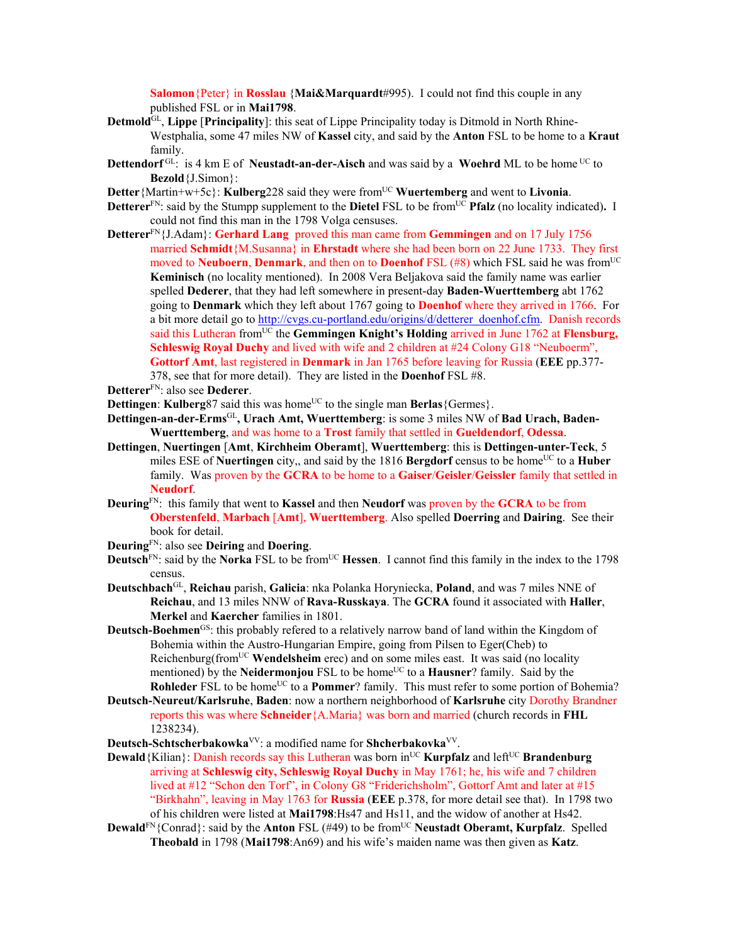**Salomon**{Peter} in **Rosslau** {**Mai&Marquardt**#995). I could not find this couple in any published FSL or in **Mai1798**.

- **Detmold**GL, **Lippe** [**Principality**]: this seat of Lippe Principality today is Ditmold in North Rhine-Westphalia, some 47 miles NW of **Kassel** city, and said by the **Anton** FSL to be home to a **Kraut**  family.
- **Dettendorf** GL: is 4 km E of **Neustadt-an-der-Aisch** and was said by a **Woehrd** ML to be home <sup>UC</sup> to **Bezold**{J.Simon}:
- **Detter**{Martin+w+5c}: **Kulberg**228 said they were from<sup>UC</sup> Wuertemberg and went to Livonia.
- **Detterer**FN: said by the Stumpp supplement to the **Dietel** FSL to be fromUC **Pfalz** (no locality indicated)**.** I could not find this man in the 1798 Volga censuses.
- **Detterer**<sup>FN</sup>{J.Adam}: **Gerhard Lang** proved this man came from **Gemmingen** and on 17 July 1756 married **Schmidt**{M.Susanna} in **Ehrstadt** where she had been born on 22 June 1733. They first moved to **Neuboern**, **Denmark**, and then on to **Doenhof** FSL (#8) which FSL said he was fromUC **Keminisch** (no locality mentioned). In 2008 Vera Beljakova said the family name was earlier spelled **Dederer**, that they had left somewhere in present-day **Baden-Wuerttemberg** abt 1762 going to **Denmark** which they left about 1767 going to **Doenhof** where they arrived in 1766. For a bit more detail go to http://cvgs.cu-portland.edu/origins/d/detterer\_doenhof.cfm. Danish records said this Lutheran from<sup>UC</sup> the **Gemmingen Knight's Holding** arrived in June 1762 at **Flensburg**, Schleswig Royal Duchy and lived with wife and 2 children at #24 Colony G18 "Neuboerm", **Gottorf Amt**, last registered in **Denmark** in Jan 1765 before leaving for Russia (**EEE** pp.377- 378, see that for more detail). They are listed in the **Doenhof** FSL #8.
- **Detterer**FN: also see **Dederer**.
- **Dettingen: Kulberg**87 said this was home<sup>UC</sup> to the single man **Berlas**{Germes}.
- **Dettingen-an-der-Erms**GL**, Urach Amt, Wuerttemberg**: is some 3 miles NW of **Bad Urach, Baden-Wuerttemberg**, and was home to a **Trost** family that settled in **Gueldendorf**, **Odessa**.
- **Dettingen**, **Nuertingen** [**Amt**, **Kirchheim Oberamt**], **Wuerttemberg**: this is **Dettingen-unter-Teck**, 5 miles ESE of **Nuertingen** city,, and said by the 1816 **Bergdorf** census to be home<sup>UC</sup> to a **Huber** family. Was proven by the **GCRA** to be home to a **Gaiser**/**Geisler**/**Geissler** family that settled in **Neudorf**.
- **Deuring**FN: this family that went to **Kassel** and then **Neudorf** was proven by the **GCRA** to be from **Oberstenfeld**, **Marbach** [**Amt**], **Wuerttemberg**. Also spelled **Doerring** and **Dairing**. See their book for detail.
- **Deuring**FN: also see **Deiring** and **Doering**.
- **Deutsch**<sup>FN</sup>: said by the **Norka** FSL to be from<sup>UC</sup> **Hessen**. I cannot find this family in the index to the 1798 census.
- **Deutschbach**GL, **Reichau** parish, **Galicia**: nka Polanka Horyniecka, **Poland**, and was 7 miles NNE of **Reichau**, and 13 miles NNW of **Rava-Russkaya**. The **GCRA** found it associated with **Haller**, **Merkel** and **Kaercher** families in 1801.
- **Deutsch-Boehmen**<sup>GS</sup>: this probably refered to a relatively narrow band of land within the Kingdom of Bohemia within the Austro-Hungarian Empire, going from Pilsen to Eger(Cheb) to Reichenburg(from<sup>UC</sup> Wendelsheim erec) and on some miles east. It was said (no locality mentioned) by the **Neidermonjou** FSL to be home<sup>UC</sup> to a **Hausner**? family. Said by the **Rohleder** FSL to be home<sup>UC</sup> to a **Pommer**? family. This must refer to some portion of Bohemia?
- **Deutsch-Neureut/Karlsruhe**, **Baden**: now a northern neighborhood of **Karlsruhe** city Dorothy Brandner reports this was where **Schneider**{A.Maria} was born and married (church records in **FHL** 1238234).
- **Deutsch-Schtscherbakowka**VV: a modified name for **Shcherbakovka**VV.
- **Dewald**{Kilian}: Danish records say this Lutheran was born in<sup>UC</sup> **Kurpfalz** and left<sup>UC</sup> **Brandenburg** arriving at **Schleswig city, Schleswig Royal Duchy** in May 1761; he, his wife and 7 children lived at #12 "Schon den Torf", in Colony G8 "Friderichsholm", Gottorf Amt and later at #15 "Birkhahn", leaving in May 1763 for **Russia** (**EEE** p.378, for more detail see that). In 1798 two of his children were listed at **Mai1798**:Hs47 and Hs11, and the widow of another at Hs42.
- **Dewald**FN{Conrad}: said by the **Anton** FSL (#49) to be fromUC **Neustadt Oberamt, Kurpfalz**. Spelled **Theobald** in 1798 (**Mai1798**:An69) and his wife's maiden name was then given as **Katz**.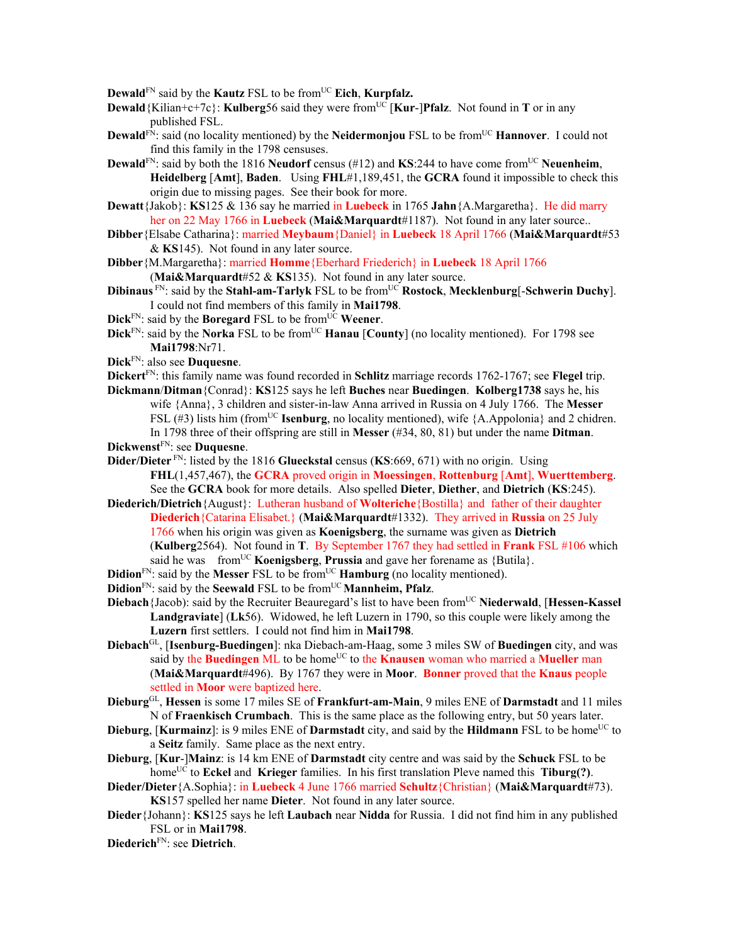**Dewald**<sup>FN</sup> said by the **Kautz** FSL to be from<sup>UC</sup> **Eich**, **Kurpfalz.** 

- **Dewald**{Kilian+c+7c}: **Kulberg**56 said they were from<sup>UC</sup> [**Kur-]Pfalz**. Not found in **T** or in any published FSL.
- **Dewald**<sup>FN</sup>: said (no locality mentioned) by the **Neidermonjou** FSL to be from<sup>UC</sup> **Hannover**. I could not find this family in the 1798 censuses.
- **Dewald**<sup>FN</sup>: said by both the 1816 **Neudorf** census (#12) and **KS**:244 to have come from<sup>UC</sup> **Neuenheim**, **Heidelberg** [**Amt**], **Baden**. Using **FHL**#1,189,451, the **GCRA** found it impossible to check this origin due to missing pages. See their book for more.
- **Dewatt**{Jakob}: **KS**125 & 136 say he married in **Luebeck** in 1765 **Jahn**{A.Margaretha}. He did marry her on 22 May 1766 in **Luebeck** (**Mai&Marquardt**#1187). Not found in any later source..
- **Dibber**{Elsabe Catharina}: married **Meybaum**{Daniel} in **Luebeck** 18 April 1766 (**Mai&Marquardt**#53 & **KS**145). Not found in any later source.
- **Dibber**{M.Margaretha}: married **Homme**{Eberhard Friederich} in **Luebeck** 18 April 1766 (**Mai&Marquardt**#52 & **KS**135). Not found in any later source.
- **Dibinaus** FN: said by the **Stahl-am-Tarlyk** FSL to be from <sup>UC</sup> **Rostock**, **Mecklenburg**[-**Schwerin Duchy**]. I could not find members of this family in **Mai1798**.
- **Dick**<sup>FN</sup>: said by the **Boregard** FSL to be from<sup>UC</sup> Weener.
- **Dick**<sup>FN</sup>: said by the **Norka** FSL to be from<sup>UC</sup> **Hanau** [County] (no locality mentioned). For 1798 see **Mai1798**:Nr71.
- **Dick**FN: also see **Duquesne**.
- **Dickert**FN: this family name was found recorded in **Schlitz** marriage records 1762-1767; see **Flegel** trip.
- **Dickmann**/**Ditman**{Conrad}: **KS**125 says he left **Buches** near **Buedingen**. **Kolberg1738** says he, his wife {Anna}, 3 children and sister-in-law Anna arrived in Russia on 4 July 1766. The **Messer**  FSL  $(\#3)$  lists him (from<sup>UC</sup> **Isenburg**, no locality mentioned), wife  ${A \cdot Appolonia}$  and 2 chidren. In 1798 three of their offspring are still in **Messer** (#34, 80, 81) but under the name **Ditman**.
- **Dickwenst**FN: see **Duquesne**.
- **Dider/Dieter** FN: listed by the 1816 **Glueckstal** census (**KS**:669, 671) with no origin. Using **FHL**(1,457,467), the **GCRA** proved origin in **Moessingen**, **Rottenburg** [**Amt**], **Wuerttemberg**. See the **GCRA** book for more details. Also spelled **Dieter**, **Diether**, and **Dietrich** (**KS**:245).
- **Diederich/Dietrich**{August}: Lutheran husband of **Wolteriche**{Bostilla} and father of their daughter **Diederich**{Catarina Elisabet.} (**Mai&Marquardt**#1332). They arrived in **Russia** on 25 July 1766 when his origin was given as **Koenigsberg**, the surname was given as **Dietrich** (**Kulberg**2564). Not found in **T**. By September 1767 they had settled in **Frank** FSL #106 which said he was from<sup>UC</sup> **Koenigsberg**, **Prussia** and gave her forename as  $\{Butila\}$ .
- **Didion**<sup>FN</sup>: said by the **Messer** FSL to be from<sup>UC</sup> **Hamburg** (no locality mentioned).
- **Didion**<sup>FN</sup>: said by the **Seewald** FSL to be from<sup>UC</sup> **Mannheim, Pfalz**.
- **Diebach**{Jacob): said by the Recruiter Beauregard's list to have been from<sup>UC</sup> Niederwald, [Hessen-Kassel **Landgraviate**] (**Lk**56). Widowed, he left Luzern in 1790, so this couple were likely among the **Luzern** first settlers. I could not find him in **Mai1798**.
- **Diebach**GL, [**Isenburg-Buedingen**]: nka Diebach-am-Haag, some 3 miles SW of **Buedingen** city, and was said by the **Buedingen** ML to be home<sup>UC</sup> to the **Knausen** woman who married a **Mueller** man (**Mai&Marquardt**#496). By 1767 they were in **Moor**. **Bonner** proved that the **Knaus** people settled in **Moor** were baptized here.
- **Dieburg**GL, **Hessen** is some 17 miles SE of **Frankfurt-am-Main**, 9 miles ENE of **Darmstadt** and 11 miles N of **Fraenkisch Crumbach**. This is the same place as the following entry, but 50 years later.
- **Dieburg, [Kurmainz**]: is 9 miles ENE of **Darmstadt** city, and said by the **Hildmann** FSL to be home<sup>UC</sup> to a **Seitz** family. Same place as the next entry.
- **Dieburg**, [**Kur**-]**Mainz**: is 14 km ENE of **Darmstadt** city centre and was said by the **Schuck** FSL to be home<sup>UC</sup> to **Eckel** and **Krieger** families. In his first translation Pleve named this **Tiburg(?)**.
- **Dieder/Dieter**{A.Sophia}: in **Luebeck** 4 June 1766 married **Schultz**{Christian} (**Mai&Marquardt**#73). **KS**157 spelled her name **Dieter**. Not found in any later source.
- **Dieder**{Johann}: **KS**125 says he left **Laubach** near **Nidda** for Russia. I did not find him in any published FSL or in **Mai1798**.
- **Diederich**FN: see **Dietrich**.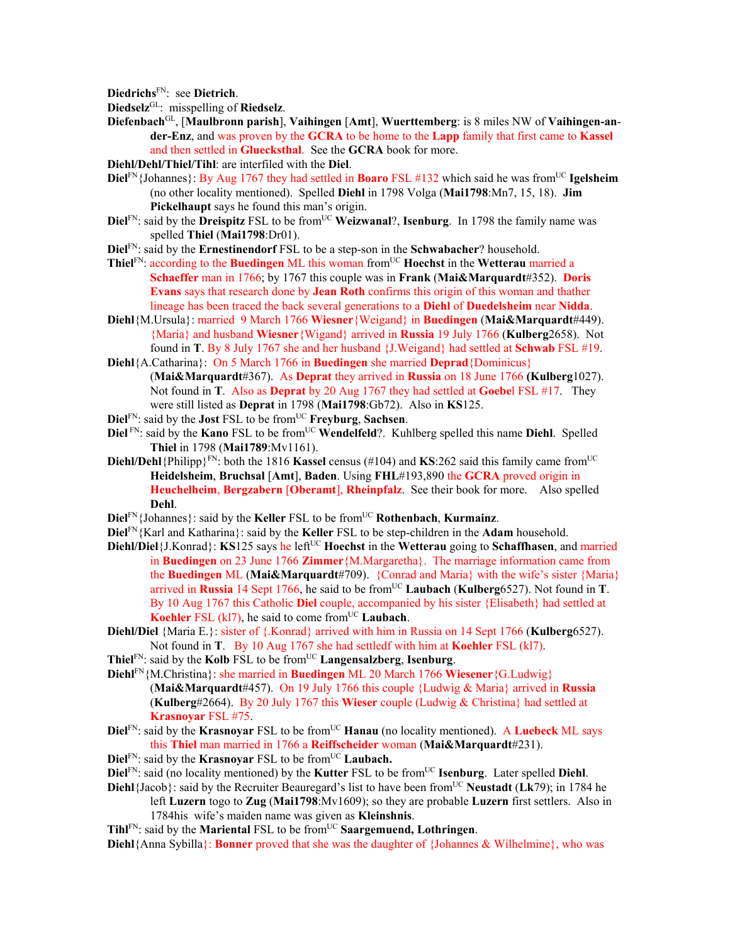**Diedrichs**FN: see **Dietrich**.

Diedselz<sup>GL</sup>: misspelling of **Riedselz**.

- **Diefenbach**GL, [**Maulbronn parish**], **Vaihingen** [**Amt**], **Wuerttemberg**: is 8 miles NW of **Vaihingen-ander-Enz**, and was proven by the **GCRA** to be home to the **Lapp** family that first came to **Kassel** and then settled in **Gluecksthal**. See the **GCRA** book for more.
- **Diehl/Dehl/Thiel/Tihl**: are interfiled with the **Diel**.
- **Diel**FN{Johannes}: By Aug 1767 they had settled in **Boaro** FSL #132 which said he was from<sup>UC</sup> **Igelsheim** (no other locality mentioned). Spelled **Diehl** in 1798 Volga (**Mai1798**:Mn7, 15, 18). **Jim Pickelhaupt** says he found this man's origin.
- **Diel**FN: said by the **Dreispitz** FSL to be from<sup>UC</sup> **Weizwanal**?, **Isenburg**. In 1798 the family name was spelled **Thiel** (**Mai1798**:Dr01).
- **Diel**FN: said by the **Ernestinendorf** FSL to be a step-son in the **Schwabacher**? household.
- **Thiel**<sup>FN</sup>: according to the **Buedingen** ML this woman from<sup>UC</sup> **Hoechst** in the **Wetterau** married a **Schaeffer** man in 1766; by 1767 this couple was in **Frank** (**Mai&Marquardt**#352). **Doris Evans** says that research done by **Jean Roth** confirms this origin of this woman and thather lineage has been traced the back several generations to a **Diehl** of **Duedelsheim** near **Nidda**.
- **Diehl**{M.Ursula}: married 9 March 1766 **Wiesner**{Weigand} in **Buedingen** (**Mai&Marquardt**#449). {Maria} and husband **Wiesner**{Wigand} arrived in **Russia** 19 July 1766 (**Kulberg**2658). Not found in **T**. By 8 July 1767 she and her husband {J.Weigand} had settled at **Schwab** FSL #19.
- **Diehl**{A.Catharina}: On 5 March 1766 in **Buedingen** she married **Deprad**{Dominicus} (**Mai&Marquardt**#367). As **Deprat** they arrived in **Russia** on 18 June 1766 **(Kulberg**1027). Not found in **T**. Also as **Deprat** by 20 Aug 1767 they had settled at **Goebe**l FSL #17. They were still listed as **Deprat** in 1798 (**Mai1798**:Gb72). Also in **KS**125.
- **Diel**FN: said by the **Jost** FSL to be fromUC **Freyburg**, **Sachsen**.
- **Diel** FN: said by the **Kano** FSL to be from<sup>UC</sup> **Wendelfeld**?. Kuhlberg spelled this name **Diehl**. Spelled **Thiel** in 1798 (**Mai1789**:Mv1161).
- **Diehl/Dehl**{Philipp}<sup>FN</sup>: both the 1816 **Kassel** census (#104) and **KS**:262 said this family came from<sup>UC</sup> **Heidelsheim**, **Bruchsal** [**Amt**], **Baden**. Using **FHL**#193,890 the **GCRA** proved origin in **Heuchelheim**, **Bergzabern** [**Oberamt**], **Rheinpfalz**. See their book for more. Also spelled **Dehl**.
- **Diel**<sup>FN</sup>{Johannes}: said by the **Keller** FSL to be from<sup>UC</sup> **Rothenbach**, **Kurmainz**.
- **Diel**FN{Karl and Katharina}: said by the **Keller** FSL to be step-children in the **Adam** household.
- **Diehl/Diel**{J.Konrad}: **KS**125 says he left<sup>UC</sup> **Hoechst** in the **Wetterau** going to **Schaffhasen**, and married in **Buedingen** on 23 June 1766 **Zimmer**{M.Margaretha}. The marriage information came from the **Buedingen** ML (**Mai&Marquardt**#709). {Conrad and Maria} with the wife's sister {Maria} arrived in **Russia** 14 Sept 1766, he said to be from<sup>UC</sup> Laubach (Kulberg6527). Not found in **T**. By 10 Aug 1767 this Catholic **Diel** couple, accompanied by his sister {Elisabeth} had settled at **Koehler** FSL (kl7), he said to come from<sup>UC</sup> Laubach.
- **Diehl/Diel** {Maria E.}: sister of {.Konrad} arrived with him in Russia on 14 Sept 1766 (**Kulberg**6527). Not found in **T**. By 10 Aug 1767 she had settledf with him at **Koehler** FSL (kl7).
- **Thiel**<sup>FN</sup>: said by the **Kolb** FSL to be from<sup>UC</sup> **Langensalzberg**, **Isenburg**.
- **Diehl**FN{M.Christina}: she married in **Buedingen** ML 20 March 1766 **Wiesener**{G.Ludwig} (**Mai&Marquardt**#457). On 19 July 1766 this couple {Ludwig & Maria} arrived in **Russia** (**Kulberg**#2664). By 20 July 1767 this **Wieser** couple (Ludwig & Christina} had settled at **Krasnoyar** FSL #75.
- **Diel**FN: said by the **Krasnoyar** FSL to be from<sup>UC</sup> **Hanau** (no locality mentioned). A **Luebeck** ML says this **Thiel** man married in 1766 a **Reiffscheider** woman (**Mai&Marquardt**#231).
- **Diel**<sup>FN</sup>: said by the **Krasnoyar** FSL to be from<sup>UC</sup> **Laubach.**
- **Diel**<sup>FN</sup>: said (no locality mentioned) by the **Kutter** FSL to be from<sup>UC</sup> **Isenburg**. Later spelled **Diehl**.
- **Diehl**{Jacob}: said by the Recruiter Beauregard's list to have been from<sup>UC</sup> **Neustadt** ( $Lk79$ ); in 1784 he left **Luzern** togo to **Zug** (**Mai1798**:Mv1609); so they are probable **Luzern** first settlers. Also in 1784his wife's maiden name was given as **Kleinshnis**.
- **Tihl**FN: said by the **Mariental** FSL to be from<sup>UC</sup> **Saargemuend, Lothringen**.

**Diehl**{Anna Sybilla}: **Bonner** proved that she was the daughter of {Johannes & Wilhelmine}, who was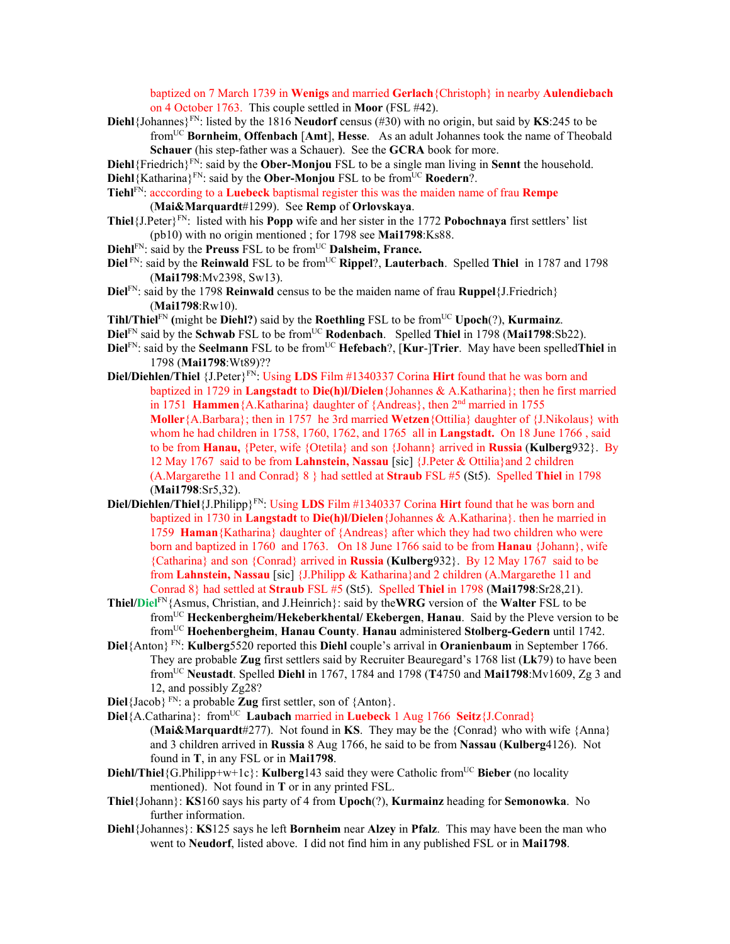baptized on 7 March 1739 in **Wenigs** and married **Gerlach**{Christoph} in nearby **Aulendiebach** on 4 October 1763. This couple settled in **Moor** (FSL #42).

- **Diehl**{Johannes}FN: listed by the 1816 **Neudorf** census (#30) with no origin, but said by **KS**:245 to be fromUC **Bornheim**, **Offenbach** [**Amt**], **Hesse**. As an adult Johannes took the name of Theobald **Schauer** (his step-father was a Schauer). See the **GCRA** book for more.
- **Diehl**{Friedrich}FN: said by the **Ober-Monjou** FSL to be a single man living in **Sennt** the household. **Diehl**{Katharina}<sup>FN</sup>: said by the **Ober-Monjou** FSL to be from<sup>UC</sup> **Roedern**?.
- **Tiehl**FN: acccording to a **Luebeck** baptismal register this was the maiden name of frau **Rempe** (**Mai&Marquardt**#1299). See **Remp** of **Orlovskaya**.
- **Thiel**{J.Peter}FN: listed with his **Popp** wife and her sister in the 1772 **Pobochnaya** first settlers' list (pb10) with no origin mentioned ; for 1798 see **Mai1798**:Ks88.
- **Diehl**FN: said by the **Preuss** FSL to be from<sup>UC</sup> **Dalsheim, France.**
- **Diel** FN: said by the **Reinwald** FSL to be from<sup>UC</sup> **Rippel**?, **Lauterbach**. Spelled **Thiel** in 1787 and 1798 (**Mai1798**:Mv2398, Sw13).
- **Diel**FN: said by the 1798 **Reinwald** census to be the maiden name of frau **Ruppel**{J.Friedrich} (**Mai1798**:Rw10).
- **Tihl/Thiel**FN **(**might be **Diehl?**) said by the **Roethling** FSL to be fromUC **Upoch**(?), **Kurmainz**.
- **Diel**<sup>FN</sup> said by the **Schwab** FSL to be from<sup>UC</sup> **Rodenbach**. Spelled **Thiel** in 1798 (Mai1798:Sb22).
- **Diel**<sup>FN</sup>: said by the **Seelmann** FSL to be from<sup>UC</sup> **Hefebach**?, [**Kur-**]Trier. May have been spelled Thiel in 1798 (**Mai1798**:Wt89)??
- **Diel/Diehlen/Thiel** {J.Peter}FN: Using **LDS** Film #1340337 Corina **Hirt** found that he was born and baptized in 1729 in **Langstadt** to **Die(h)l/Dielen**{Johannes & A.Katharina}; then he first married in 1751 **Hammen** {A.Katharina} daughter of  ${Andreas}$ }, then  $2<sup>nd</sup>$  married in 1755 **Moller**{A.Barbara}; then in 1757 he 3rd married **Wetzen**{Ottilia} daughter of {J.Nikolaus} with whom he had children in 1758, 1760, 1762, and 1765 all in **Langstadt.** On 18 June 1766 , said to be from **Hanau,** {Peter, wife {Otetila} and son {Johann} arrived in **Russia** (**Kulberg**932}. By 12 May 1767 said to be from **Lahnstein, Nassau** [sic] {J.Peter & Ottilia}and 2 children (A.Margarethe 11 and Conrad} 8 } had settled at **Straub** FSL #5 (St5). Spelled **Thiel** in 1798 (**Mai1798**:Sr5,32).
- **Diel/Diehlen/Thiel**{J.Philipp}FN: Using **LDS** Film #1340337 Corina **Hirt** found that he was born and baptized in 1730 in **Langstadt** to **Die(h)l/Dielen**{Johannes & A.Katharina}. then he married in 1759 **Haman**{Katharina} daughter of {Andreas} after which they had two children who were born and baptized in 1760 and 1763. On 18 June 1766 said to be from **Hanau** {Johann}, wife {Catharina} and son {Conrad} arrived in **Russia** (**Kulberg**932}. By 12 May 1767 said to be from **Lahnstein, Nassau** [sic] {J.Philipp & Katharina}and 2 children (A.Margarethe 11 and Conrad 8} had settled at **Straub** FSL #5 (St5). Spelled **Thiel** in 1798 (**Mai1798**:Sr28,21).
- **Thiel/Diel**FN{Asmus, Christian, and J.Heinrich}: said by the**WRG** version of the **Walter** FSL to be fromUC **Heckenbergheim/Hekeberkhental/ Ekebergen**, **Hanau**. Said by the Pleve version to be fromUC **Hoehenbergheim**, **Hanau County**. **Hanau** administered **Stolberg-Gedern** until 1742.
- **Diel**{Anton} FN: **Kulberg**5520 reported this **Diehl** couple's arrival in **Oranienbaum** in September 1766. They are probable **Zug** first settlers said by Recruiter Beauregard's 1768 list (**Lk**79) to have been fromUC **Neustadt**. Spelled **Diehl** in 1767, 1784 and 1798 (**T**4750 and **Mai1798**:Mv1609, Zg 3 and 12, and possibly Zg28?
- **Diel**{Jacob}<sup>FN</sup>: a probable **Zug** first settler, son of {Anton}.
- **Diel**{A.Catharina}: from<sup>UC</sup> **Laubach married in Luebeck 1 Aug 1766 Seitz**{J.Conrad}
	- (**Mai&Marquardt**#277). Not found in **KS**. They may be the {Conrad} who with wife {Anna} and 3 children arrived in **Russia** 8 Aug 1766, he said to be from **Nassau** (**Kulberg**4126). Not found in **T**, in any FSL or in **Mai1798**.
- **Diehl/Thiel**{G.Philipp+w+1c}: **Kulberg**143 said they were Catholic from<sup>UC</sup> Bieber (no locality mentioned). Not found in **T** or in any printed FSL.
- **Thiel**{Johann}: **KS**160 says his party of 4 from **Upoch**(?), **Kurmainz** heading for **Semonowka**. No further information.
- **Diehl**{Johannes}: **KS**125 says he left **Bornheim** near **Alzey** in **Pfalz**. This may have been the man who went to **Neudorf**, listed above. I did not find him in any published FSL or in **Mai1798**.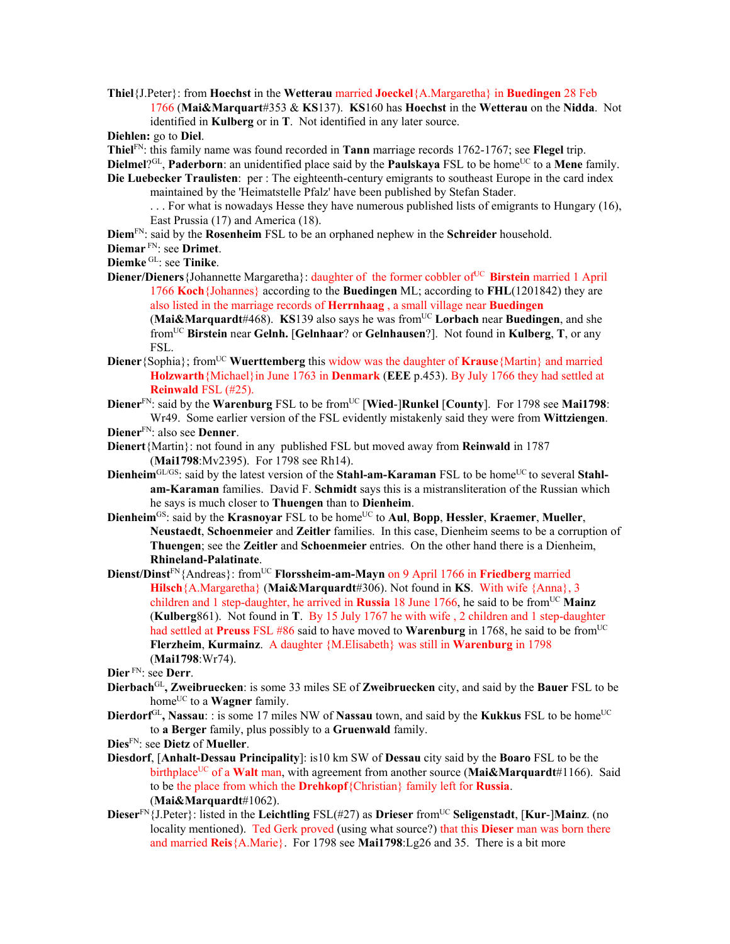**Thiel**{J.Peter}: from **Hoechst** in the **Wetterau** married **Joeckel**{A.Margaretha} in **Buedingen** 28 Feb 1766 (**Mai&Marquart**#353 & **KS**137). **KS**160 has **Hoechst** in the **Wetterau** on the **Nidda**. Not identified in **Kulberg** or in **T**. Not identified in any later source.

**Diehlen:** go to **Diel**.

**Thiel**FN: this family name was found recorded in **Tann** marriage records 1762-1767; see **Flegel** trip.

**Dielmel**?<sup>GL</sup>, **Paderborn**: an unidentified place said by the **Paulskaya** FSL to be home<sup>UC</sup> to a **Mene** family.

**Die Luebecker Traulisten**: per : The eighteenth-century emigrants to southeast Europe in the card index maintained by the 'Heimatstelle Pfalz' have been published by Stefan Stader.

. . . For what is nowadays Hesse they have numerous published lists of emigrants to Hungary (16), East Prussia (17) and America (18).

**Diem**FN: said by the **Rosenheim** FSL to be an orphaned nephew in the **Schreider** household.

**Diemar** FN: see **Drimet**.

**Diemke** GL: see **Tinike**.

**Diener/Dieners** {Johannette Margaretha}: daughter of the former cobbler of<sup>UC</sup> **Birstein** married 1 April 1766 **Koch**{Johannes} according to the **Buedingen** ML; according to **FHL**(1201842) they are also listed in the marriage records of **Herrnhaag** , a small village near **Buedingen**

(**Mai&Marquardt**#468). **KS**139 also says he was fromUC **Lorbach** near **Buedingen**, and she fromUC **Birstein** near **Gelnh.** [**Gelnhaar**? or **Gelnhausen**?]. Not found in **Kulberg**, **T**, or any FSL.

- **Diener** {Sophia}; from<sup>UC</sup> **Wuerttemberg** this widow was the daughter of **Krause** {Martin} and married **Holzwarth**{Michael}in June 1763 in **Denmark** (**EEE** p.453). By July 1766 they had settled at **Reinwald** FSL (#25).
- **Diener**<sup>FN</sup>: said by the **Warenburg** FSL to be from<sup>UC</sup> [Wied-]Runkel [County]. For 1798 see Mai1798: Wr49. Some earlier version of the FSL evidently mistakenly said they were from **Wittziengen**.
- **Diener**FN: also see **Denner**.
- **Dienert**{Martin}: not found in any published FSL but moved away from **Reinwald** in 1787 (**Mai1798**:Mv2395). For 1798 see Rh14).
- Dienheim<sup>GL/GS</sup>: said by the latest version of the **Stahl-am-Karaman** FSL to be home<sup>UC</sup> to several **Stahlam-Karaman** families. David F. **Schmidt** says this is a mistransliteration of the Russian which he says is much closer to **Thuengen** than to **Dienheim**.
- **Dienheim<sup>GS</sup>: said by the Krasnoyar FSL to be home<sup>UC</sup> to Aul, Bopp, Hessler, Kraemer, Mueller, Neustaedt**, **Schoenmeier** and **Zeitler** families. In this case, Dienheim seems to be a corruption of **Thuengen**; see the **Zeitler** and **Schoenmeier** entries. On the other hand there is a Dienheim, **Rhineland-Palatinate**.

**Dienst/Dinst<sup>FN</sup>{Andreas}: from<sup>UC</sup> <b>Florssheim-am-Mayn** on 9 April 1766 in **Friedberg** married **Hilsch**{A.Margaretha} (**Mai&Marquardt**#306). Not found in **KS**. With wife {Anna}, 3 children and 1 step-daughter, he arrived in **Russia** 18 June 1766, he said to be from<sup>UC</sup> Mainz (**Kulberg**861). Not found in **T**. By 15 July 1767 he with wife , 2 children and 1 step-daughter had settled at **Preuss** FSL #86 said to have moved to **Warenburg** in 1768, he said to be from<sup>UC</sup> **Flerzheim**, **Kurmainz**. A daughter {M.Elisabeth} was still in **Warenburg** in 1798 (**Mai1798**:Wr74).

**Dier** FN: see **Derr**.

- **Dierbach**GL**, Zweibruecken**: is some 33 miles SE of **Zweibruecken** city, and said by the **Bauer** FSL to be home<sup>UC</sup> to a **Wagner** family.
- **Dierdorf**<sup>GL</sup>, Nassau: : is some 17 miles NW of Nassau town, and said by the **Kukkus** FSL to be home<sup>UC</sup> to **a Berger** family, plus possibly to a **Gruenwald** family.

**Dies**FN: see **Dietz** of **Mueller**.

- **Diesdorf**, [**Anhalt-Dessau Principality**]: is10 km SW of **Dessau** city said by the **Boaro** FSL to be the birthplace<sup>UC</sup> of a **Walt** man, with agreement from another source (Mai&Marquardt#1166). Said to be the place from which the **Drehkopf**{Christian} family left for **Russia**. (**Mai&Marquardt**#1062).
- **Dieser**FN{J.Peter}: listed in the **Leichtling** FSL(#27) as **Drieser** fromUC **Seligenstadt**, [**Kur**-]**Mainz**. (no locality mentioned). Ted Gerk proved (using what source?) that this **Dieser** man was born there and married **Reis**{A.Marie}. For 1798 see **Mai1798**:Lg26 and 35. There is a bit more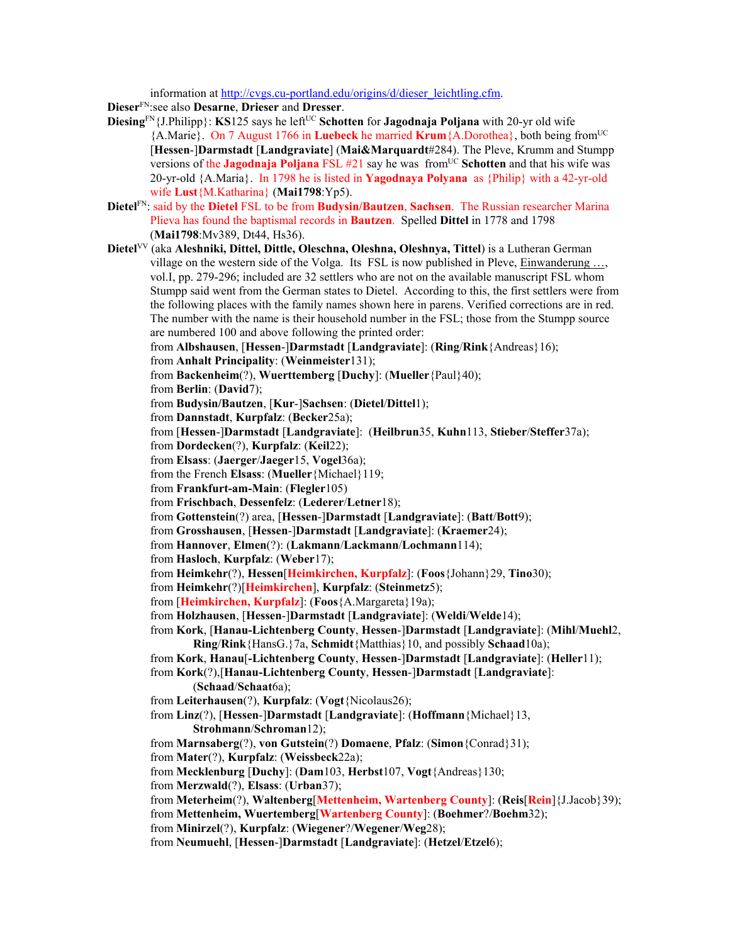information at http://cvgs.cu-portland.edu/origins/d/dieser\_leichtling.cfm.

**Dieser**FN:see also **Desarne**, **Drieser** and **Dresser**.

- **Diesing**<sup>FN</sup>{J.Philipp}: **KS**125 says he left<sup>UC</sup> **Schotten** for **Jagodnaja Poljana** with 20-yr old wife {A.Marie}. On 7 August 1766 in **Luebeck** he married **Krum**{A.Dorothea}, both being fromUC [**Hessen**-]**Darmstadt** [**Landgraviate**] (**Mai&Marquardt**#284). The Pleve, Krumm and Stumpp versions of the **Jagodnaja Poljana** FSL #21 say he was from<sup>UC</sup> Schotten and that his wife was 20-yr-old {A.Maria}. In 1798 he is listed in **Yagodnaya Polyana** as {Philip} with a 42-yr-old wife **Lust**{M.Katharina} (**Mai1798**:Yp5).
- **Dietel**FN: said by the **Dietel** FSL to be from **Budysin/Bautzen**, **Sachsen**. The Russian researcher Marina Plieva has found the baptismal records in **Bautzen**. Spelled **Dittel** in 1778 and 1798 (**Mai1798**:Mv389, Dt44, Hs36).
- **Dietel**VV (aka **Aleshniki, Dittel, Dittle, Oleschna, Oleshna, Oleshnya, Tittel**) is a Lutheran German village on the western side of the Volga. Its FSL is now published in Pleve, Einwanderung …, vol.I, pp. 279-296; included are 32 settlers who are not on the available manuscript FSL whom Stumpp said went from the German states to Dietel. According to this, the first settlers were from the following places with the family names shown here in parens. Verified corrections are in red. The number with the name is their household number in the FSL; those from the Stumpp source are numbered 100 and above following the printed order:

from **Albshausen**, [**Hessen**-]**Darmstadt** [**Landgraviate**]: (**Ring**/**Rink**{Andreas}16); from **Anhalt Principality**: (**Weinmeister**131);

```
from Backenheim(?), Wuerttemberg [Duchy]: (Mueller{Paul}40);
```
from **Berlin**: (**David**7);

```
from Budysin/Bautzen, [Kur-]Sachsen: (Dietel/Dittel1);
```
from **Dannstadt**, **Kurpfalz**: (**Becker**25a);

from [**Hessen**-]**Darmstadt** [**Landgraviate**]: (**Heilbrun**35, **Kuhn**113, **Stieber**/**Steffer**37a);

from **Dordecken**(?), **Kurpfalz**: (**Keil**22);

from **Elsass**: (**Jaerger**/**Jaeger**15, **Vogel**36a);

from the French **Elsass**: (**Mueller**{Michael}119;

- from **Frankfurt-am-Main**: (**Flegler**105)
- from **Frischbach**, **Dessenfelz**: (**Lederer**/**Letner**18);

from **Gottenstein**(?) area, [**Hessen**-]**Darmstadt** [**Landgraviate**]: (**Batt**/**Bott**9);

- from **Grosshausen**, [**Hessen**-]**Darmstadt** [**Landgraviate**]: (**Kraemer**24);
- from **Hannover**, **Elmen**(?): (**Lakmann**/**Lackmann**/**Lochmann**114);
- from **Hasloch**, **Kurpfalz**: (**Weber**17);

from **Heimkehr**(?), **Hessen**[**Heimkirchen, Kurpfalz**]: (**Foos**{Johann}29, **Tino**30);

from **Heimkehr**(?)[**Heimkirchen**], **Kurpfalz**: (**Steinmetz**5);

from [**Heimkirchen, Kurpfalz**]: (**Foos**{A.Margareta}19a);

from **Holzhausen**, [**Hessen**-]**Darmstadt** [**Landgraviate**]: (**Weldi**/**Welde**14);

from **Kork**, [**Hanau-Lichtenberg County**, **Hessen**-]**Darmstadt** [**Landgraviate**]: (**Mihl**/**Muehl**2, **Ring**/**Rink**{HansG.}7a, **Schmidt**{Matthias}10, and possibly **Schaad**10a);

from **Kork**, **Hanau**[**-Lichtenberg County**, **Hessen**-]**Darmstadt** [**Landgraviate**]: (**Heller**11);

from **Kork**(?),[**Hanau-Lichtenberg County**, **Hessen**-]**Darmstadt** [**Landgraviate**]: (**Schaad**/**Schaat**6a);

```
from Leiterhausen(?), Kurpfalz: (Vogt{Nicolaus26);
```
from **Linz**(?), [**Hessen**-]**Darmstadt** [**Landgraviate**]: (**Hoffmann**{Michael}13,

**Strohmann**/**Schroman**12);

from **Marnsaberg**(?), **von Gutstein**(?) **Domaene**, **Pfalz**: (**Simon**{Conrad}31);

from **Mater**(?), **Kurpfalz**: (**Weissbeck**22a);

from **Mecklenburg** [**Duchy**]: (**Dam**103, **Herbst**107, **Vogt**{Andreas}130;

from **Merzwald**(?), **Elsass**: (**Urban**37);

```
from Meterheim(?), Waltenberg[Mettenheim, Wartenberg County]: (Reis[Rein]{J.Jacob}39);
```
from **Mettenheim, Wuertemberg**[**Wartenberg County**]: (**Boehmer**?/**Boehm**32);

from **Minirzel**(?), **Kurpfalz**: (**Wiegener**?/**Wegener**/**Weg**28);

from **Neumuehl**, [**Hessen**-]**Darmstadt** [**Landgraviate**]: (**Hetzel**/**Etzel**6);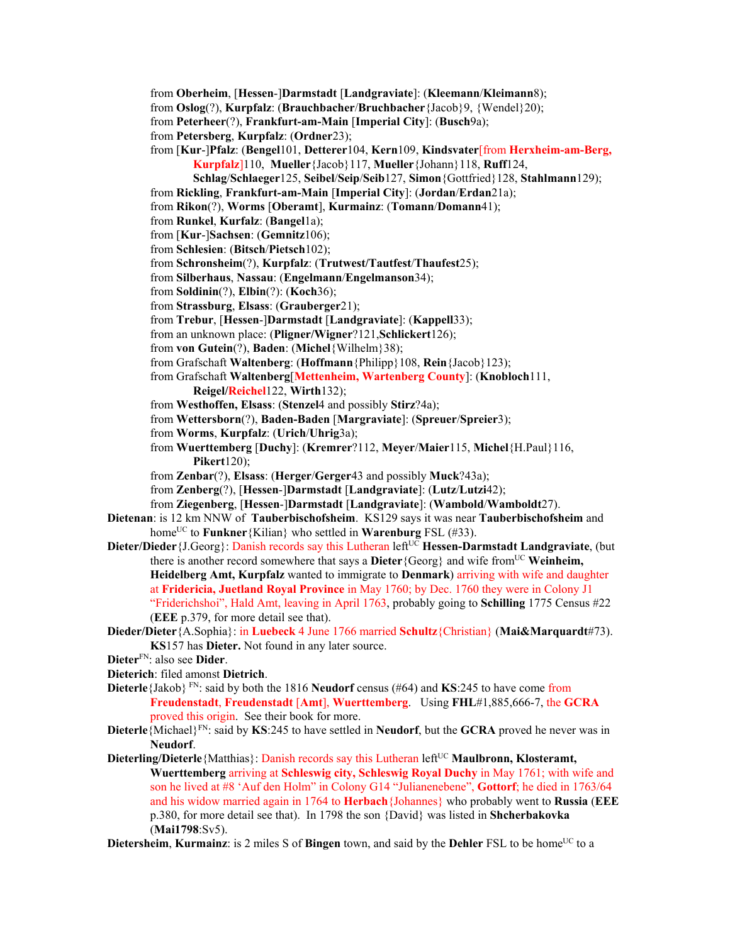from **Oberheim**, [**Hessen**-]**Darmstadt** [**Landgraviate**]: (**Kleemann**/**Kleimann**8);

from **Oslog**(?), **Kurpfalz**: (**Brauchbacher**/**Bruchbacher**{Jacob}9, {Wendel}20);

from **Peterheer**(?), **Frankfurt-am-Main** [**Imperial City**]: (**Busch**9a);

from **Petersberg**, **Kurpfalz**: (**Ordner**23);

from [**Kur**-]**Pfalz**: (**Bengel**101, **Detterer**104, **Kern**109, **Kindsvater**[from **Herxheim-am-Berg, Kurpfalz**]110, **Mueller**{Jacob}117, **Mueller**{Johann}118, **Ruff**124,

- **Schlag**/**Schlaeger**125, **Seibel**/**Seip**/**Seib**127, **Simon**{Gottfried}128, **Stahlmann**129);
- from **Rickling**, **Frankfurt-am-Main** [**Imperial City**]: (**Jordan**/**Erdan**21a);
- from **Rikon**(?), **Worms** [**Oberamt**], **Kurmainz**: (**Tomann**/**Domann**41);
- from **Runkel**, **Kurfalz**: (**Bangel**1a);
- from [**Kur**-]**Sachsen**: (**Gemnitz**106);
- from **Schlesien**: (**Bitsch**/**Pietsch**102);
- from **Schronsheim**(?), **Kurpfalz**: (**Trutwest/Tautfest**/**Thaufest**25);
- from **Silberhaus**, **Nassau**: (**Engelmann**/**Engelmanson**34);
- from **Soldinin**(?), **Elbin**(?): (**Koch**36);
- from **Strassburg**, **Elsass**: (**Grauberger**21);
- from **Trebur**, [**Hessen**-]**Darmstadt** [**Landgraviate**]: (**Kappell**33);
- from an unknown place: (**Pligner/Wigner**?121,**Schlickert**126);
- from **von Gutein**(?), **Baden**: (**Michel**{Wilhelm}38);
- from Grafschaft **Waltenberg**: (**Hoffmann**{Philipp}108, **Rein**{Jacob}123);
- from Grafschaft **Waltenberg**[**Mettenheim, Wartenberg County**]: (**Knobloch**111, **Reigel/Reichel**122, **Wirth**132);
	-
- from **Westhoffen, Elsass**: (**Stenzel**4 and possibly **Stirz**?4a);
- from **Wettersborn**(?), **Baden-Baden** [**Margraviate**]: (**Spreuer**/**Spreier**3);
- from **Worms**, **Kurpfalz**: (**Urich**/**Uhrig**3a);
- from **Wuerttemberg** [**Duchy**]: (**Kremrer**?112, **Meyer**/**Maier**115, **Michel**{H.Paul}116, **Pikert**120);
- from **Zenbar**(?), **Elsass**: (**Herger**/**Gerger**43 and possibly **Muck**?43a);
- from **Zenberg**(?), [**Hessen**-]**Darmstadt** [**Landgraviate**]: (**Lutz**/**Lutzi**42);
- from **Ziegenberg**, [**Hessen**-]**Darmstadt** [**Landgraviate**]: (**Wambold**/**Wamboldt**27).
- **Dietenan**: is 12 km NNW of **Tauberbischofsheim**. KS129 says it was near **Tauberbischofsheim** and home<sup>UC</sup> to **Funkner**{Kilian} who settled in **Warenburg** FSL (#33).
- Dieter/Dieder {J.Georg}: Danish records say this Lutheran left<sup>UC</sup> Hessen-Darmstadt Landgraviate, (but there is another record somewhere that says a **Dieter** {Georg} and wife from<sup>UC</sup> **Weinheim, Heidelberg Amt, Kurpfalz** wanted to immigrate to **Denmark**) arriving with wife and daughter at **Fridericia, Juetland Royal Province** in May 1760; by Dec. 1760 they were in Colony J1 "Friderichshoi", Hald Amt, leaving in April 1763, probably going to **Schilling** 1775 Census #22 (**EEE** p.379, for more detail see that).
- **Dieder/Dieter**{A.Sophia}: in **Luebeck** 4 June 1766 married **Schultz**{Christian} (**Mai&Marquardt**#73). **KS**157 has **Dieter.** Not found in any later source.
- **Dieter**FN: also see **Dider**.
- **Dieterich**: filed amonst **Dietrich**.
- **Dieterle**{Jakob} FN: said by both the 1816 **Neudorf** census (#64) and **KS**:245 to have come from **Freudenstadt**, **Freudenstadt** [**Amt**], **Wuerttemberg**. Using **FHL**#1,885,666-7, the **GCRA**  proved this origin. See their book for more.
- **Dieterle**{Michael}FN: said by **KS**:245 to have settled in **Neudorf**, but the **GCRA** proved he never was in **Neudorf**.
- **Dieterling/Dieterle** {Matthias}: Danish records say this Lutheran left<sup>UC</sup> **Maulbronn, Klosteramt, Wuerttemberg** arriving at **Schleswig city, Schleswig Royal Duchy** in May 1761; with wife and son he lived at #8 'Auf den Holm" in Colony G14 "Julianenebene", **Gottorf**; he died in 1763/64 and his widow married again in 1764 to **Herbach**{Johannes} who probably went to **Russia** (**EEE** p.380, for more detail see that). In 1798 the son {David} was listed in **Shcherbakovka** (**Mai1798**:Sv5).

**Dietersheim, Kurmainz**: is 2 miles S of **Bingen** town, and said by the **Dehler** FSL to be home<sup>UC</sup> to a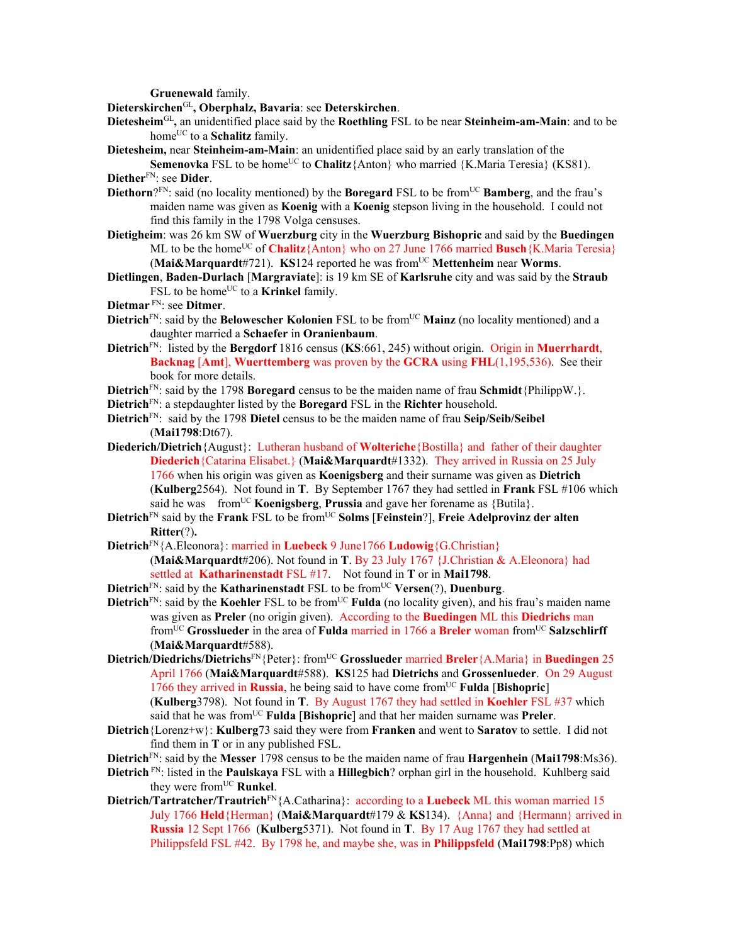**Gruenewald** family.

**Dieterskirchen**GL**, Oberphalz, Bavaria**: see **Deterskirchen**.

- **Dietesheim**GL**,** an unidentified place said by the **Roethling** FSL to be near **Steinheim-am-Main**: and to be home<sup>UC</sup> to a **Schalitz** family.
- **Dietesheim,** near **Steinheim-am-Main**: an unidentified place said by an early translation of the
- **Semenovka** FSL to be home<sup>UC</sup> to **Chalitz**{Anton} who married {K.Maria Teresia} (KS81). **Diether**FN: see **Dider**.
- **Diethorn**? $F_N$ : said (no locality mentioned) by the **Boregard** FSL to be from<sup>UC</sup> **Bamberg**, and the frau's maiden name was given as **Koenig** with a **Koenig** stepson living in the household. I could not find this family in the 1798 Volga censuses.
- **Dietigheim**: was 26 km SW of **Wuerzburg** city in the **Wuerzburg Bishopric** and said by the **Buedingen** ML to be the home<sup>UC</sup> of **Chalitz**{Anton} who on 27 June 1766 married **Busch**{K.Maria Teresia} (**Mai&Marquardt**#721). **KS**124 reported he was fromUC **Mettenheim** near **Worms**.
- **Dietlingen**, **Baden-Durlach** [**Margraviate**]: is 19 km SE of **Karlsruhe** city and was said by the **Straub** FSL to be home<sup>UC</sup> to a **Krinkel** family.
- **Dietmar** FN: see **Ditmer**.
- **Dietrich**<sup>FN</sup>: said by the **Belowescher Kolonien** FSL to be from<sup>UC</sup> Mainz (no locality mentioned) and a daughter married a **Schaefer** in **Oranienbaum**.
- **Dietrich**FN: listed by the **Bergdorf** 1816 census (**KS**:661, 245) without origin. Origin in **Muerrhardt**, **Backnag** [**Amt**], **Wuerttemberg** was proven by the **GCRA** using **FHL**(1,195,536). See their book for more details.
- **Dietrich**FN: said by the 1798 **Boregard** census to be the maiden name of frau **Schmidt**{PhilippW.}.
- **Dietrich**FN: a stepdaughter listed by the **Boregard** FSL in the **Richter** household.
- **Dietrich**FN: said by the 1798 **Dietel** census to be the maiden name of frau **Seip/Seib/Seibel** (**Mai1798**:Dt67).
- **Diederich/Dietrich**{August}: Lutheran husband of **Wolteriche**{Bostilla} and father of their daughter **Diederich**{Catarina Elisabet.} (**Mai&Marquardt**#1332). They arrived in Russia on 25 July 1766 when his origin was given as **Koenigsberg** and their surname was given as **Dietrich** (**Kulberg**2564). Not found in **T**. By September 1767 they had settled in **Frank** FSL #106 which said he was from<sup>UC</sup> **Koenigsberg**, **Prussia** and gave her forename as {Butila}.
- **Dietrich**FN said by the **Frank** FSL to be fromUC **Solms** [**Feinstein**?], **Freie Adelprovinz der alten Ritter**(?)**.**
- **Dietrich**FN{A.Eleonora}: married in **Luebeck** 9 June1766 **Ludowig**{G.Christian} (**Mai&Marquardt**#206). Not found in **T**. By 23 July 1767 {J.Christian & A.Eleonora} had settled at **Katharinenstadt** FSL #17. Not found in **T** or in **Mai1798**.
- **Dietrich**<sup>FN</sup>: said by the **Katharinenstadt** FSL to be from<sup>UC</sup> **Versen**(?), **Duenburg**.
- **Dietrich**<sup>FN</sup>: said by the **Koehler** FSL to be from<sup>UC</sup> **Fulda** (no locality given), and his frau's maiden name was given as **Preler** (no origin given). According to the **Buedingen** ML this **Diedrichs** man fromUC **Grosslueder** in the area of **Fulda** married in 1766 a **Breler** woman fromUC **Salzschlirff** (**Mai&Marquardt**#588).
- **Dietrich/Diedrichs/Dietrichs**FN{Peter}: fromUC **Grosslueder** married **Breler**{A.Maria} in **Buedingen** 25 April 1766 (**Mai&Marquardt**#588). **KS**125 had **Dietrichs** and **Grossenlueder**. On 29 August 1766 they arrived in **Russia**, he being said to have come fromUC **Fulda** [**Bishopric**] (**Kulberg**3798). Not found in **T**. By August 1767 they had settled in **Koehler** FSL #37 which said that he was fromUC **Fulda** [**Bishopric**] and that her maiden surname was **Preler**.
- **Dietrich**{Lorenz+w}: **Kulberg**73 said they were from **Franken** and went to **Saratov** to settle. I did not find them in **T** or in any published FSL.
- **Dietrich**FN: said by the **Messer** 1798 census to be the maiden name of frau **Hargenhein** (**Mai1798**:Ms36).
- **Dietrich** FN: listed in the **Paulskaya** FSL with a **Hillegbich**? orphan girl in the household. Kuhlberg said they were from<sup>UC</sup> **Runkel**.
- **Dietrich/Tartratcher/Trautrich**FN{A.Catharina}: according to a **Luebeck** ML this woman married 15 July 1766 **Held**{Herman} (**Mai&Marquardt**#179 & **KS**134). {Anna} and {Hermann} arrived in **Russia** 12 Sept 1766 (**Kulberg**5371). Not found in **T**. By 17 Aug 1767 they had settled at Philippsfeld FSL #42. By 1798 he, and maybe she, was in **Philippsfeld** (**Mai1798**:Pp8) which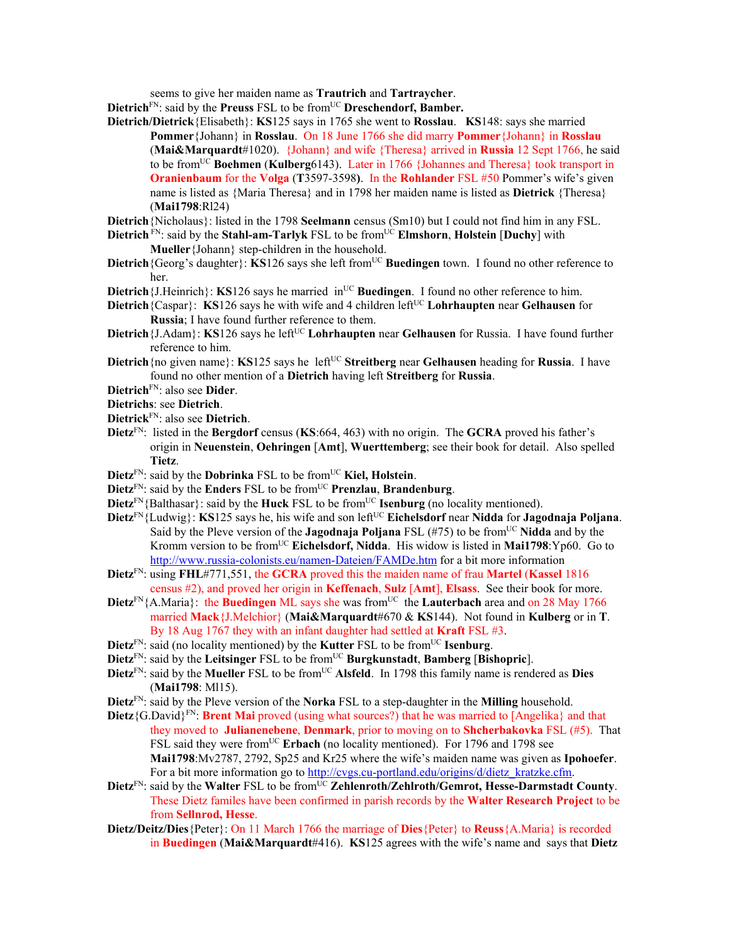seems to give her maiden name as **Trautrich** and **Tartraycher**.

**Dietrich**<sup>FN</sup>: said by the **Preuss** FSL to be from<sup>UC</sup> **Dreschendorf, Bamber.** 

- **Dietrich/Dietrick**{Elisabeth}: **KS**125 says in 1765 she went to **Rosslau**. **KS**148: says she married **Pommer**{Johann} in **Rosslau**. On 18 June 1766 she did marry **Pommer**{Johann} in **Rosslau** (**Mai&Marquardt**#1020). {Johann} and wife {Theresa} arrived in **Russia** 12 Sept 1766, he said to be fromUC **Boehmen** (**Kulberg**6143). Later in 1766 {Johannes and Theresa} took transport in **Oranienbaum** for the **Volga** (**T**3597-3598**)**. In the **Rohlander** FSL #50 Pommer's wife's given name is listed as {Maria Theresa} and in 1798 her maiden name is listed as **Dietrick** {Theresa} (**Mai1798**:Rl24)
- **Dietrich**{Nicholaus}: listed in the 1798 **Seelmann** census (Sm10) but I could not find him in any FSL.
- **Dietrich** FN: said by the **Stahl-am-Tarlyk** FSL to be from<sup>UC</sup> **Elmshorn**, **Holstein** [Duchy] with **Mueller**{Johann} step-children in the household.
- **Dietrich**{Georg's daughter}: **KS**126 says she left from<sup>UC</sup> **Buedingen** town. I found no other reference to her.
- **Dietrich** $\{J\}$ . **Heinrich** $\}$ : **KS**126 says he married in<sup>UC</sup> **Buedingen**. I found no other reference to him.
- **Dietrich**{Caspar}: **KS**126 says he with wife and 4 children left<sup>UC</sup> **Lohrhaupten** near **Gelhausen** for **Russia**; I have found further reference to them.
- **Dietrich** {J.Adam}: **KS**126 says he left<sup>UC</sup> **Lohrhaupten** near **Gelhausen** for Russia. I have found further reference to him.
- **Dietrich**{no given name}: **KS**125 says he left<sup>UC</sup> Streitberg near Gelhausen heading for Russia. I have found no other mention of a **Dietrich** having left **Streitberg** for **Russia**.
- **Dietrich**FN: also see **Dider**.
- **Dietrichs**: see **Dietrich**.
- **Dietrick**FN: also see **Dietrich**.
- **Dietz**FN: listed in the **Bergdorf** census (**KS**:664, 463) with no origin. The **GCRA** proved his father's origin in **Neuenstein**, **Oehringen** [**Amt**], **Wuerttemberg**; see their book for detail. Also spelled **Tietz**.
- **Dietz**<sup>FN</sup>: said by the **Dobrinka** FSL to be from<sup>UC</sup> **Kiel, Holstein**.
- **Dietz**<sup>FN</sup>: said by the **Enders** FSL to be from<sup>UC</sup> **Prenzlau**, **Brandenburg**.
- Dietz<sup>FN</sup>{Balthasar}: said by the **Huck** FSL to be from<sup>UC</sup> **Isenburg** (no locality mentioned).
- Dietz<sup>FN</sup>{Ludwig}: **KS**125 says he, his wife and son left<sup>UC</sup> **Eichelsdorf** near **Nidda** for **Jagodnaja Poljana**. Said by the Pleve version of the **Jagodnaja Poljana** FSL (#75) to be fromUC **Nidda** and by the Kromm version to be fromUC **Eichelsdorf, Nidda**. His widow is listed in **Mai1798**:Yp60. Go to http://www.russia-colonists.eu/namen-Dateien/FAMDe.htm for a bit more information
- **Dietz**FN: using **FHL**#771,551, the **GCRA** proved this the maiden name of frau **Martel** (**Kassel** 1816 census #2), and proved her origin in **Keffenach**, **Sulz** [**Amt**], **Elsass**. See their book for more.
- **Dietz**<sup>FN</sup>{A.Maria}: the **Buedingen** ML says she was from<sup>UC</sup> the **Lauterbach** area and on 28 May 1766 married **Mack**{J.Melchior} (**Mai&Marquardt**#670 & **KS**144). Not found in **Kulberg** or in **T**. By 18 Aug 1767 they with an infant daughter had settled at **Kraft** FSL #3.
- **Dietz**<sup>FN</sup>: said (no locality mentioned) by the **Kutter** FSL to be from<sup>UC</sup> **Isenburg**.
- **Dietz**FN: said by the **Leitsinger** FSL to be fromUC **Burgkunstadt**, **Bamberg** [**Bishopric**].
- **Dietz**<sup>FN</sup>: said by the **Mueller** FSL to be from<sup>UC</sup> **Alsfeld**. In 1798 this family name is rendered as **Dies** (**Mai1798**: Ml15).
- **Dietz**FN: said by the Pleve version of the **Norka** FSL to a step-daughter in the **Milling** household.
- **Dietz**{G.David}<sup>FN</sup>: **Brent Mai** proved (using what sources?) that he was married to [Angelika} and that they moved to **Julianenebene**, **Denmark**, prior to moving on to **Shcherbakovka** FSL (#5). That FSL said they were from<sup>UC</sup> Erbach (no locality mentioned). For 1796 and 1798 see **Mai1798**:Mv2787, 2792, Sp25 and Kr25 where the wife's maiden name was given as **Ipohoefer**. For a bit more information go to http://cvgs.cu-portland.edu/origins/d/dietz\_kratzke.cfm.
- **Dietz**<sup>FN</sup>: said by the **Walter** FSL to be from<sup>UC</sup> **Zehlenroth/Zehlroth/Gemrot, Hesse-Darmstadt County.** These Dietz familes have been confirmed in parish records by the **Walter Research Project** to be from **Sellnrod, Hesse**.
- **Dietz/Deitz/Dies**{Peter}: On 11 March 1766 the marriage of **Dies**{Peter} to **Reuss**{A.Maria} is recorded in **Buedingen** (**Mai&Marquardt**#416). **KS**125 agrees with the wife's name and says that **Dietz**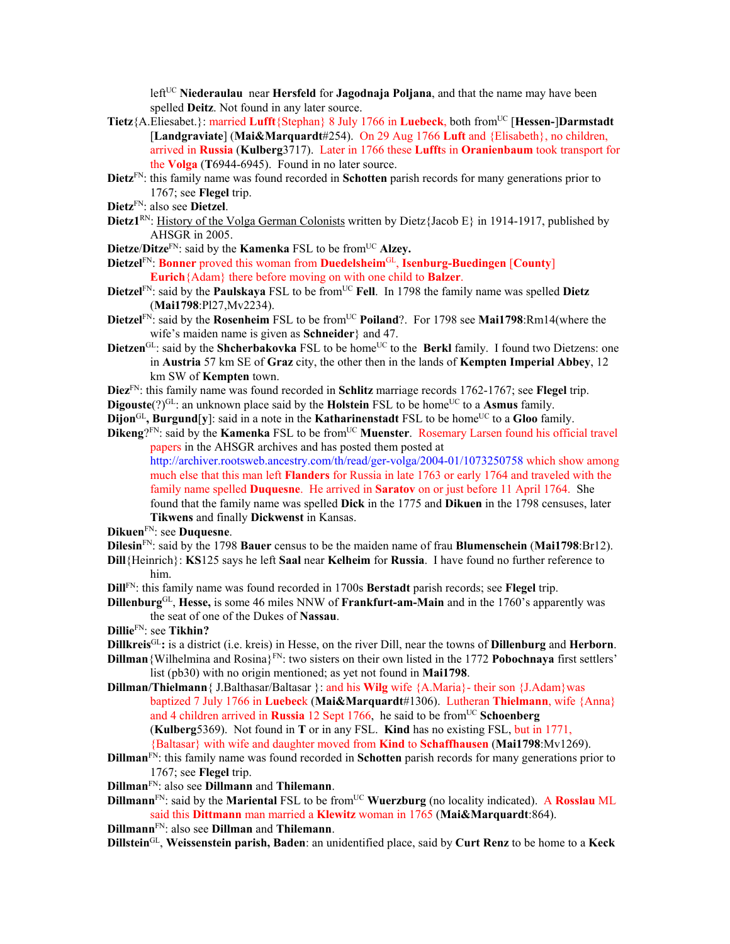left<sup>UC</sup> Niederaulau near Hersfeld for **Jagodnaja Poljana**, and that the name may have been spelled **Deitz**. Not found in any later source.

- **Tietz**{A.Eliesabet.}: married **Lufft**{Stephan} 8 July 1766 in **Luebeck**, both fromUC [**Hessen-**]**Darmstadt**  [**Landgraviate**] (**Mai&Marquardt**#254). On 29 Aug 1766 **Luft** and {Elisabeth}, no children, arrived in **Russia** (**Kulberg**3717). Later in 1766 these **Lufft**s in **Oranienbaum** took transport for the **Volga** (**T**6944-6945). Found in no later source.
- **Dietz**FN: this family name was found recorded in **Schotten** parish records for many generations prior to 1767; see **Flegel** trip.
- **Dietz**FN: also see **Dietzel**.
- **Dietz1**RN: History of the Volga German Colonists written by Dietz $\{Jacob E\}$  in 1914-1917, published by AHSGR in 2005.
- **Dietze/Ditze**<sup>FN</sup>: said by the **Kamenka** FSL to be from<sup>UC</sup> Alzey.
- **Dietzel**FN: **Bonner** proved this woman from **Duedelsheim**GL, **Isenburg-Buedingen** [**County**] **Eurich**{Adam} there before moving on with one child to **Balzer**.
- **Dietzel**<sup>FN</sup>: said by the **Paulskaya** FSL to be from<sup>UC</sup> **Fell**. In 1798 the family name was spelled **Dietz** (**Mai1798**:Pl27,Mv2234).
- **Dietzel**FN: said by the **Rosenheim** FSL to be from<sup>UC</sup> **Poiland**?. For 1798 see **Mai1798**:Rm14(where the wife's maiden name is given as **Schneider**} and 47.
- Dietzen<sup>GL</sup>: said by the Shcherbakovka FSL to be home<sup>UC</sup> to the Berkl family. I found two Dietzens: one in **Austria** 57 km SE of **Graz** city, the other then in the lands of **Kempten Imperial Abbey**, 12 km SW of **Kempten** town.
- **Diez**FN: this family name was found recorded in **Schlitz** marriage records 1762-1767; see **Flegel** trip.
- **Digouste**(?)<sup>GL</sup>: an unknown place said by the **Holstein** FSL to be home<sup>UC</sup> to a **Asmus** family.
- $Dijon<sup>GL</sup>$ , **Burgund**[**y**]: said in a note in the **Katharinenstadt** FSL to be home<sup>UC</sup> to a **Gloo** family.
- Dikeng?<sup>FN</sup>: said by the **Kamenka** FSL to be from<sup>UC</sup> Muenster. Rosemary Larsen found his official travel papers in the AHSGR archives and has posted them posted at http://archiver.rootsweb.ancestry.com/th/read/ger-volga/2004-01/1073250758 which show among much else that this man left **Flanders** for Russia in late 1763 or early 1764 and traveled with the family name spelled **Duquesne**. He arrived in **Saratov** on or just before 11 April 1764. She found that the family name was spelled **Dick** in the 1775 and **Dikuen** in the 1798 censuses, later **Tikwens** and finally **Dickwenst** in Kansas.
- **Dikuen**FN: see **Duquesne**.
- **Dilesin**FN: said by the 1798 **Bauer** census to be the maiden name of frau **Blumenschein** (**Mai1798**:Br12).
- **Dill**{Heinrich}: **KS**125 says he left **Saal** near **Kelheim** for **Russia**. I have found no further reference to him.
- **Dill**FN: this family name was found recorded in 1700s **Berstadt** parish records; see **Flegel** trip.
- **Dillenburg**GL, **Hesse,** is some 46 miles NNW of **Frankfurt-am-Main** and in the 1760's apparently was the seat of one of the Dukes of **Nassau**.
- **Dillie**FN: see **Tikhin?**
- **Dillkreis**GL**:** is a district (i.e. kreis) in Hesse, on the river Dill, near the towns of **Dillenburg** and **Herborn**.
- **Dillman** {Wilhelmina and Rosina}<sup>FN</sup>: two sisters on their own listed in the 1772 **Pobochnaya** first settlers' list (pb30) with no origin mentioned; as yet not found in **Mai1798**.
- **Dillman/Thielmann**{ J.Balthasar/Baltasar }: and his **Wilg** wife {A.Maria}- their son {J.Adam}was baptized 7 July 1766 in **Luebec**k (**Mai&Marquardt**#1306). Lutheran **Thielmann**, wife {Anna} and 4 children arrived in **Russia** 12 Sept 1766, he said to be from<sup>UC</sup> Schoenberg (**Kulberg**5369). Not found in **T** or in any FSL. **Kind** has no existing FSL, but in 1771, {Baltasar} with wife and daughter moved from **Kind** to **Schaffhausen** (**Mai1798**:Mv1269).
- **Dillman**FN: this family name was found recorded in **Schotten** parish records for many generations prior to 1767; see **Flegel** trip.
- **Dillman**FN: also see **Dillmann** and **Thilemann**.
- **Dillmann**<sup>FN</sup>: said by the **Mariental** FSL to be from<sup>UC</sup> **Wuerzburg** (no locality indicated). A **Rosslau** ML said this **Dittmann** man married a **Klewitz** woman in 1765 (**Mai&Marquardt**:864).
- **Dillmann**FN: also see **Dillman** and **Thilemann**.

**Dillstein**GL, **Weissenstein parish, Baden**: an unidentified place, said by **Curt Renz** to be home to a **Keck**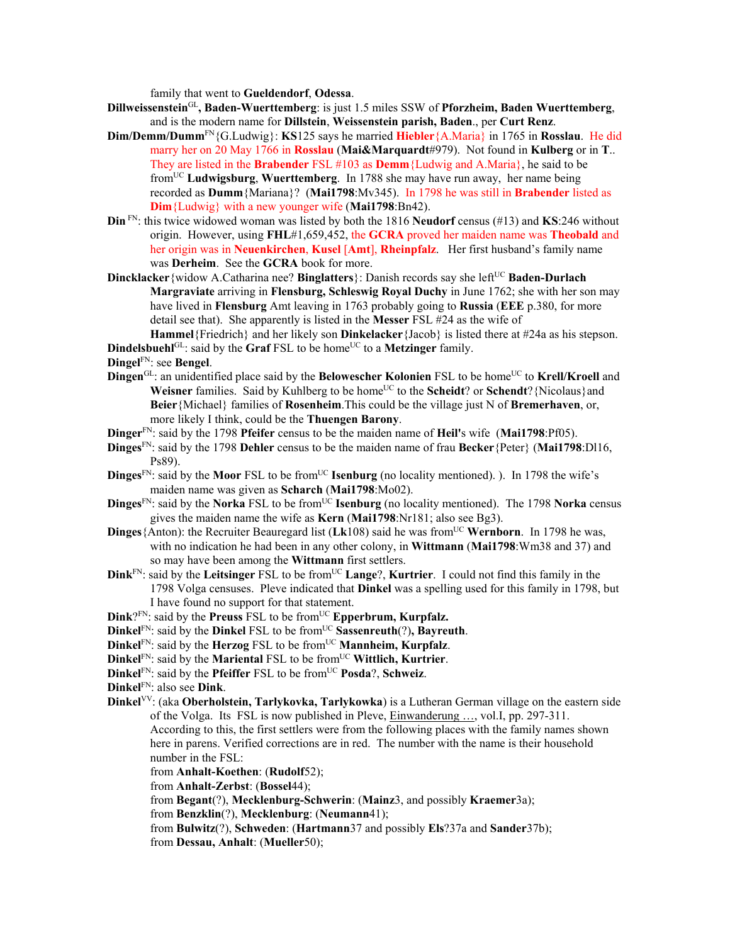family that went to **Gueldendorf**, **Odessa**.

- **Dillweissenstein**GL**, Baden-Wuerttemberg**: is just 1.5 miles SSW of **Pforzheim, Baden Wuerttemberg**, and is the modern name for **Dillstein**, **Weissenstein parish, Baden**., per **Curt Renz**.
- **Dim/Demm/Dumm**FN{G.Ludwig}: **KS**125 says he married **Hiebler**{A.Maria} in 1765 in **Rosslau**. He did marry her on 20 May 1766 in **Rosslau** (**Mai&Marquardt**#979). Not found in **Kulberg** or in **T**.. They are listed in the **Brabender** FSL #103 as **Demm**{Ludwig and A.Maria}, he said to be fromUC **Ludwigsburg**, **Wuerttemberg**. In 1788 she may have run away, her name being recorded as **Dumm**{Mariana}? (**Mai1798**:Mv345). In 1798 he was still in **Brabender** listed as **Dim**{Ludwig} with a new younger wife (**Mai1798**:Bn42).
- **Din** FN: this twice widowed woman was listed by both the 1816 **Neudorf** census (#13) and **KS**:246 without origin. However, using **FHL**#1,659,452, the **GCRA** proved her maiden name was **Theobald** and her origin was in **Neuenkirchen**, **Kusel** [**Amt**], **Rheinpfalz**. Her first husband's family name was **Derheim**. See the **GCRA** book for more.
- **Dincklacker** {widow A.Catharina nee? **Binglatters** }: Danish records say she left<sup>UC</sup> **Baden-Durlach Margraviate** arriving in **Flensburg, Schleswig Royal Duchy** in June 1762; she with her son may have lived in **Flensburg** Amt leaving in 1763 probably going to **Russia** (**EEE** p.380, for more detail see that). She apparently is listed in the **Messer** FSL #24 as the wife of

**Hammel**{Friedrich} and her likely son **Dinkelacker**{Jacob} is listed there at #24a as his stepson. **Dindelsbuehl**<sup>GL</sup>: said by the **Graf** FSL to be home<sup>UC</sup> to a **Metzinger** family.

**Dingel**FN: see **Bengel**.

- **Dingen**<sup>GL</sup>: an unidentified place said by the **Belowescher Kolonien** FSL to be home<sup>UC</sup> to **Krell/Kroell** and Weisner families. Said by Kuhlberg to be home<sup>UC</sup> to the **Scheidt**? or **Schendt**? {Nicolaus} and **Beier**{Michael} families of **Rosenheim**.This could be the village just N of **Bremerhaven**, or, more likely I think, could be the **Thuengen Barony**.
- **Dinger**FN: said by the 1798 **Pfeifer** census to be the maiden name of **Heil'**s wife (**Mai1798**:Pf05).
- **Dinges**FN: said by the 1798 **Dehler** census to be the maiden name of frau **Becker**{Peter} (**Mai1798**:Dl16, Ps89).
- **Dinges**<sup>FN</sup>: said by the **Moor** FSL to be from<sup>UC</sup> **Isenburg** (no locality mentioned). ). In 1798 the wife's maiden name was given as **Scharch** (**Mai1798**:Mo02).
- **Dinges**<sup>FN</sup>: said by the **Norka** FSL to be from<sup>UC</sup> **Isenburg** (no locality mentioned). The 1798 **Norka** census gives the maiden name the wife as **Kern** (**Mai1798**:Nr181; also see Bg3).
- **Dinges** {Anton): the Recruiter Beauregard list (Lk108) said he was from<sup>UC</sup> Wernborn. In 1798 he was, with no indication he had been in any other colony, in **Wittmann** (**Mai1798**:Wm38 and 37) and so may have been among the **Wittmann** first settlers.
- **Dink**<sup>FN</sup>: said by the Leitsinger FSL to be from<sup>UC</sup> Lange?, **Kurtrier**. I could not find this family in the 1798 Volga censuses. Pleve indicated that **Dinkel** was a spelling used for this family in 1798, but I have found no support for that statement.
- **Dink**?<sup>FN</sup>: said by the **Preuss** FSL to be from<sup>UC</sup> **Epperbrum, Kurpfalz.**
- **Dinkel**FN: said by the **Dinkel** FSL to be fromUC **Sassenreuth**(?)**, Bayreuth**.
- **Dinkel**FN: said by the **Herzog** FSL to be from<sup>UC</sup> **Mannheim, Kurpfalz**.
- **Dinkel**<sup>FN</sup>: said by the **Mariental** FSL to be from<sup>UC</sup> **Wittlich, Kurtrier**.
- **Dinkel**FN: said by the **Pfeiffer** FSL to be from<sup>UC</sup> **Posda**?, **Schweiz**.
- **Dinkel**FN: also see **Dink**.
- **Dinkel**VV: (aka **Oberholstein, Tarlykovka, Tarlykowka**) is a Lutheran German village on the eastern side of the Volga. Its FSL is now published in Pleve, Einwanderung …, vol.I, pp. 297-311. According to this, the first settlers were from the following places with the family names shown here in parens. Verified corrections are in red. The number with the name is their household number in the FSL:
	- from **Anhalt-Koethen**: (**Rudolf**52);
	- from **Anhalt-Zerbst**: (**Bossel**44);
	- from **Begant**(?), **Mecklenburg-Schwerin**: (**Mainz**3, and possibly **Kraemer**3a);
	- from **Benzklin**(?), **Mecklenburg**: (**Neumann**41);
	- from **Bulwitz**(?), **Schweden**: (**Hartmann**37 and possibly **Els**?37a and **Sander**37b);
	- from **Dessau, Anhalt**: (**Mueller**50);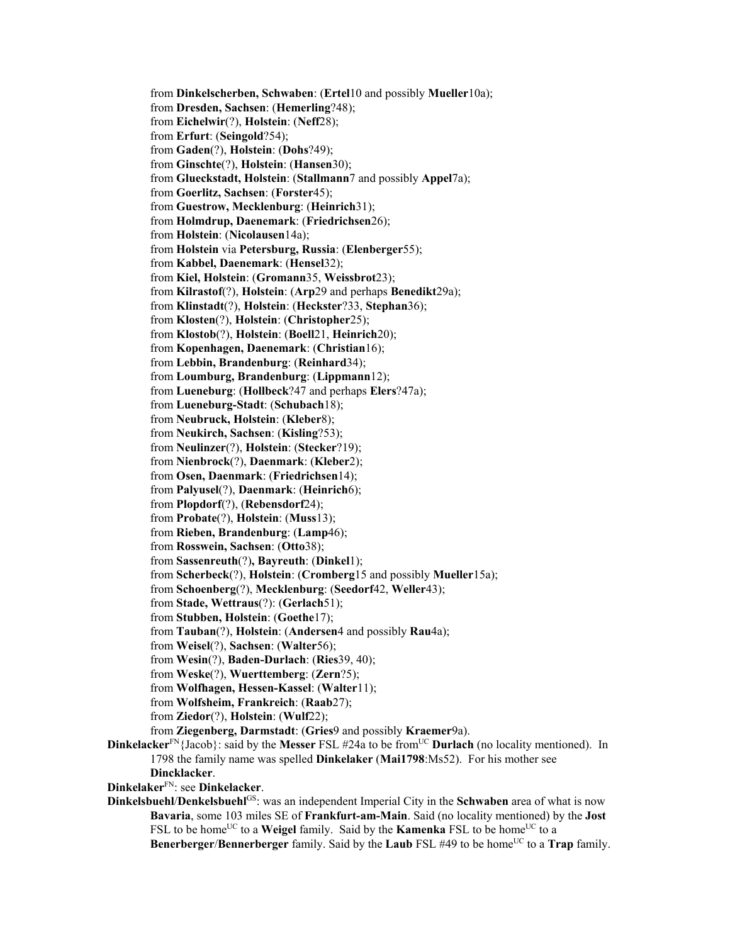from **Dinkelscherben, Schwaben**: (**Ertel**10 and possibly **Mueller**10a); from **Dresden, Sachsen**: (**Hemerling**?48); from **Eichelwir**(?), **Holstein**: (**Neff**28); from **Erfurt**: (**Seingold**?54); from **Gaden**(?), **Holstein**: (**Dohs**?49); from **Ginschte**(?), **Holstein**: (**Hansen**30); from **Glueckstadt, Holstein**: (**Stallmann**7 and possibly **Appel**7a); from **Goerlitz, Sachsen**: (**Forster**45); from **Guestrow, Mecklenburg**: (**Heinrich**31); from **Holmdrup, Daenemark**: (**Friedrichsen**26); from **Holstein**: (**Nicolausen**14a); from **Holstein** via **Petersburg, Russia**: (**Elenberger**55); from **Kabbel, Daenemark**: (**Hensel**32); from **Kiel, Holstein**: (**Gromann**35, **Weissbrot**23); from **Kilrastof**(?), **Holstein**: (**Arp**29 and perhaps **Benedikt**29a); from **Klinstadt**(?), **Holstein**: (**Heckster**?33, **Stephan**36); from **Klosten**(?), **Holstein**: (**Christopher**25); from **Klostob**(?), **Holstein**: (**Boell**21, **Heinrich**20); from **Kopenhagen, Daenemark**: (**Christian**16); from **Lebbin, Brandenburg**: (**Reinhard**34); from **Loumburg, Brandenburg**: (**Lippmann**12); from **Lueneburg**: (**Hollbeck**?47 and perhaps **Elers**?47a); from **Lueneburg-Stadt**: (**Schubach**18); from **Neubruck, Holstein**: (**Kleber**8); from **Neukirch, Sachsen**: (**Kisling**?53); from **Neulinzer**(?), **Holstein**: (**Stecker**?19); from **Nienbrock**(?), **Daenmark**: (**Kleber**2); from **Osen, Daenmark**: (**Friedrichsen**14); from **Palyusel**(?), **Daenmark**: (**Heinrich**6); from **Plopdorf**(?), (**Rebensdorf**24); from **Probate**(?), **Holstein**: (**Muss**13); from **Rieben, Brandenburg**: (**Lamp**46); from **Rosswein, Sachsen**: (**Otto**38); from **Sassenreuth**(?)**, Bayreuth**: (**Dinkel**1); from **Scherbeck**(?), **Holstein**: (**Cromberg**15 and possibly **Mueller**15a); from **Schoenberg**(?), **Mecklenburg**: (**Seedorf**42, **Weller**43); from **Stade, Wettraus**(?): (**Gerlach**51); from **Stubben, Holstein**: (**Goethe**17); from **Tauban**(?), **Holstein**: (**Andersen**4 and possibly **Rau**4a); from **Weisel**(?), **Sachsen**: (**Walter**56); from **Wesin**(?), **Baden-Durlach**: (**Ries**39, 40); from **Weske**(?), **Wuerttemberg**: (**Zern**?5); from **Wolfhagen, Hessen-Kassel**: (**Walter**11); from **Wolfsheim, Frankreich**: (**Raab**27); from **Ziedor**(?), **Holstein**: (**Wulf**22); from **Ziegenberg, Darmstadt**: (**Gries**9 and possibly **Kraemer**9a). **Dinkelacker**<sup>FN</sup>{Jacob}: said by the **Messer** FSL #24a to be from<sup>UC</sup> **Durlach** (no locality mentioned). In

1798 the family name was spelled **Dinkelaker** (**Mai1798**:Ms52). For his mother see **Dincklacker**.

**Dinkelaker**FN: see **Dinkelacker**.

**Dinkelsbuehl/Denkelsbuehl**<sup>GS</sup>: was an independent Imperial City in the **Schwaben** area of what is now **Bavaria**, some 103 miles SE of **Frankfurt-am-Main**. Said (no locality mentioned) by the **Jost** FSL to be home<sup>UC</sup> to a **Weigel** family. Said by the **Kamenka** FSL to be home<sup>UC</sup> to a **Benerberger/Bennerberger** family. Said by the **Laub** FSL #49 to be home<sup>UC</sup> to a **Trap** family.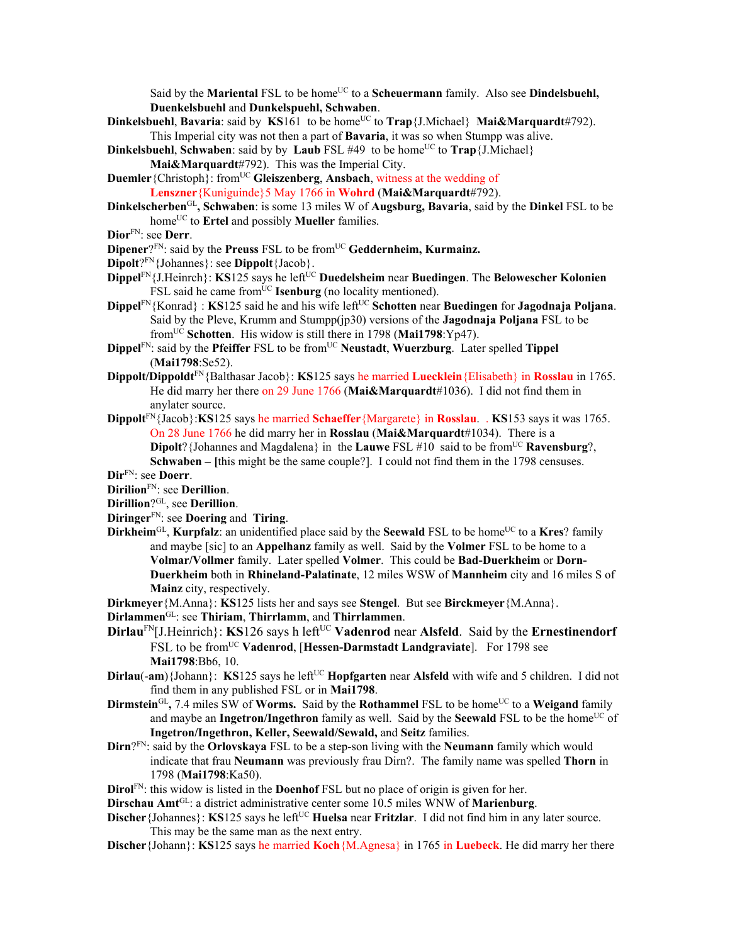Said by the **Mariental** FSL to be home<sup>UC</sup> to a **Scheuermann** family. Also see **Dindelsbuehl**, **Duenkelsbuehl** and **Dunkelspuehl, Schwaben**.

- **Dinkelsbuehl, Bavaria**: said by **KS**161 to be home<sup>UC</sup> to **Trap**{J.Michael} **Mai&Marquardt**#792). This Imperial city was not then a part of **Bavaria**, it was so when Stumpp was alive.
- **Dinkelsbuehl, Schwaben**: said by by **Laub** FSL #49 to be home<sup>UC</sup> to  $\text{Trap}\{J.Michael\}$ 
	- **Mai&Marquardt**#792). This was the Imperial City.

**Duemler** {Christoph}: from<sup>UC</sup> **Gleiszenberg**, **Ansbach**, witness at the wedding of

- **Lenszner**{Kuniguinde}5 May 1766 in **Wohrd** (**Mai&Marquardt**#792).
- **Dinkelscherben**GL**, Schwaben**: is some 13 miles W of **Augsburg, Bavaria**, said by the **Dinkel** FSL to be home<sup>UC</sup> to **Ertel** and possibly **Mueller** families.
- **Dior**FN: see **Derr**.
- **Dipener**?FN: said by the **Preuss** FSL to be from<sup>UC</sup> Geddernheim, Kurmainz.
- **Dipolt**?FN{Johannes}: see **Dippolt**{Jacob}.
- **Dippel**<sup>FN</sup>{J.Heinrch}: **KS**125 says he left<sup>UC</sup> Duedelsheim near Buedingen. The Belowescher Kolonien FSL said he came from<sup>UC</sup> **Isenburg** (no locality mentioned).
- **Dippel**FN{Konrad} : **KS**125 said he and his wife left<sup>UC</sup> Schotten near Buedingen for Jagodnaja Poljana. Said by the Pleve, Krumm and Stumpp(jp30) versions of the **Jagodnaja Poljana** FSL to be fromUC **Schotten**. His widow is still there in 1798 (**Mai1798**:Yp47).
- **Dippel<sup>FN</sup>: said by the Pfeiffer FSL to be from<sup>UC</sup> Neustadt, Wuerzburg. Later spelled <b>Tippel** (**Mai1798**:Se52).
- **Dippolt/Dippoldt**FN{Balthasar Jacob}: **KS**125 says he married **Luecklein**{Elisabeth} in **Rosslau** in 1765. He did marry her there on 29 June 1766 (**Mai&Marquardt**#1036). I did not find them in anylater source.
- **Dippolt**FN{Jacob}:**KS**125 says he married **Schaeffer**{Margarete} in **Rosslau**. . **KS**153 says it was 1765. On 28 June 1766 he did marry her in **Rosslau** (**Mai&Marquardt**#1034). There is a **Dipolt**? {Johannes and Magdalena} in the **Lauwe** FSL #10 said to be from<sup>UC</sup> Ravensburg?, **Schwaben – [this might be the same couple?].** I could not find them in the 1798 censuses. **Dir**FN: see **Doerr**.
- 
- **Dirilion**FN: see **Derillion**.
- **Dirillion**?GL, see **Derillion**.
- **Diringer**FN: see **Doering** and **Tiring**.
- **Dirkheim**<sup>GL</sup>, **Kurpfalz**: an unidentified place said by the **Seewald** FSL to be home<sup>UC</sup> to a **Kres**? family and maybe [sic] to an **Appelhanz** family as well. Said by the **Volmer** FSL to be home to a **Volmar/Vollmer** family. Later spelled **Volmer**. This could be **Bad-Duerkheim** or **Dorn-Duerkheim** both in **Rhineland-Palatinate**, 12 miles WSW of **Mannheim** city and 16 miles S of **Mainz** city, respectively.
- **Dirkmeyer**{M.Anna}: **KS**125 lists her and says see **Stengel**. But see **Birckmeyer**{M.Anna}.
- **Dirlammen**GL: see **Thiriam**, **Thirrlamm**, and **Thirrlammen**.
- **Dirlau**<sup>FN</sup>[J.Heinrich}: **KS**126 says h left<sup>UC</sup> **Vadenrod** near **Alsfeld**. Said by the **Ernestinendorf** FSL to be from<sup>UC</sup> Vadenrod, [Hessen-Darmstadt Landgraviate]. For 1798 see **Mai1798**:Bb6, 10.
- **Dirlau(-am)**{Johann}: **KS**125 says he left<sup>UC</sup> **Hopfgarten** near **Alsfeld** with wife and 5 children. I did not find them in any published FSL or in **Mai1798**.
- **Dirmstein**<sup>GL</sup>, 7.4 miles SW of **Worms.** Said by the **Rothammel** FSL to be home<sup>UC</sup> to a **Weigand** family and maybe an **Ingetron/Ingethron** family as well. Said by the **Seewald** FSL to be the home<sup>UC</sup> of **Ingetron/Ingethron, Keller, Seewald/Sewald,** and **Seitz** families.
- **Dirn**?FN: said by the **Orlovskaya** FSL to be a step-son living with the **Neumann** family which would indicate that frau **Neumann** was previously frau Dirn?. The family name was spelled **Thorn** in 1798 (**Mai1798**:Ka50).
- **Dirol**<sup>FN</sup>: this widow is listed in the **Doenhof** FSL but no place of origin is given for her.
- **Dirschau Amt**GL: a district administrative center some 10.5 miles WNW of **Marienburg**.
- **Discher**{Johannes}: **KS**125 says he left<sup>UC</sup> **Huelsa** near **Fritzlar**. I did not find him in any later source. This may be the same man as the next entry.
- **Discher**{Johann}: **KS**125 says he married **Koch**{M.Agnesa} in 1765 in **Luebeck**. He did marry her there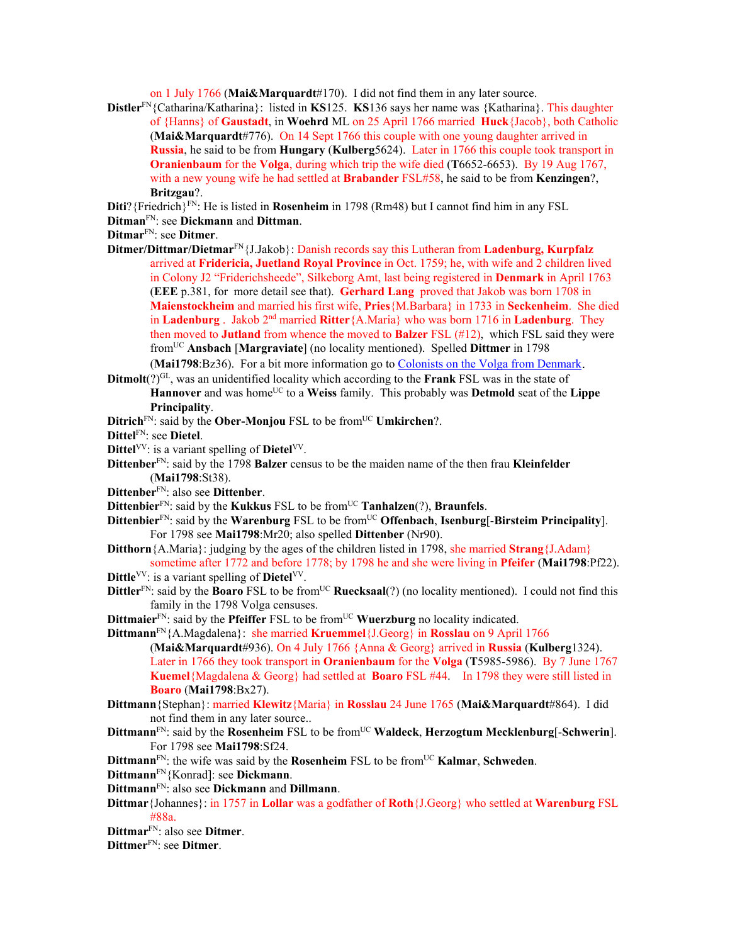on 1 July 1766 (**Mai&Marquardt**#170). I did not find them in any later source.

- **Distler**FN{Catharina/Katharina}: listed in **KS**125. **KS**136 says her name was {Katharina}. This daughter of {Hanns} of **Gaustadt**, in **Woehrd** ML on 25 April 1766 married **Huck**{Jacob}, both Catholic (**Mai&Marquardt**#776). On 14 Sept 1766 this couple with one young daughter arrived in **Russia**, he said to be from **Hungary** (**Kulberg**5624). Later in 1766 this couple took transport in **Oranienbaum** for the **Volga**, during which trip the wife died (**T**6652-6653). By 19 Aug 1767, with a new young wife he had settled at **Brabander** FSL#58, he said to be from **Kenzingen**?, **Britzgau**?.
- **Diti**? {Friedrich}<sup>FN</sup>: He is listed in **Rosenheim** in 1798 (Rm48) but I cannot find him in any FSL **Ditman**FN: see **Dickmann** and **Dittman**.
- **Ditmar**FN: see **Ditmer**.
- **Ditmer/Dittmar/Dietmar**FN{J.Jakob}: Danish records say this Lutheran from **Ladenburg, Kurpfalz** arrived at **Fridericia, Juetland Royal Province** in Oct. 1759; he, with wife and 2 children lived in Colony J2 "Friderichsheede", Silkeborg Amt, last being registered in **Denmark** in April 1763 (**EEE** p.381, for more detail see that). **Gerhard Lang** proved that Jakob was born 1708 in **Maienstockheim** and married his first wife, **Pries**{M.Barbara} in 1733 in **Seckenheim**.She died in **Ladenburg** . Jakob 2nd married **Ritter**{A.Maria} who was born 1716 in **Ladenburg**. They then moved to **Jutland** from whence the moved to **Balzer** FSL (#12), which FSL said they were fromUC **Ansbach** [**Margraviate**] (no locality mentioned). Spelled **Dittmer** in 1798

(**Mai1798**:Bz36). For a bit more information go to Colonists on the Volga from Denmark.

**Ditmolt**(?)<sup>GL</sup>, was an unidentified locality which according to the **Frank** FSL was in the state of **Hannover** and was home<sup>UC</sup> to a **Weiss** family. This probably was **Detmold** seat of the **Lippe Principality**.

- **Ditrich**<sup>FN</sup>: said by the **Ober-Monjou** FSL to be from<sup>UC</sup> **Umkirchen**?.
- **Dittel**FN: see **Dietel**.
- **Dittel**<sup>VV</sup>: is a variant spelling of **Dietel**<sup>VV</sup>.
- **Dittenber**FN: said by the 1798 **Balzer** census to be the maiden name of the then frau **Kleinfelder** (**Mai1798**:St38).
- **Dittenber**FN: also see **Dittenber**.

**Dittenbier**<sup>FN</sup>: said by the **Kukkus** FSL to be from<sup>UC</sup> **Tanhalzen**(?), **Braunfels**.

- **Dittenbier**<sup>FN</sup>: said by the **Warenburg** FSL to be from<sup>UC</sup> **Offenbach**, **Isenburg**[-**Birsteim Principality**]. For 1798 see **Mai1798**:Mr20; also spelled **Dittenber** (Nr90).
- **Ditthorn**{A.Maria}: judging by the ages of the children listed in 1798, she married **Strang**{J.Adam} sometime after 1772 and before 1778; by 1798 he and she were living in **Pfeifer** (**Mai1798**:Pf22).
- **Dittle**<sup>VV</sup>: is a variant spelling of **Dietel**<sup>VV</sup>.
- **Dittler**<sup>FN</sup>: said by the **Boaro** FSL to be from<sup>UC</sup> **Ruecksaal**(?) (no locality mentioned). I could not find this family in the 1798 Volga censuses.
- **Dittmaier**<sup>FN</sup>: said by the **Pfeiffer** FSL to be from<sup>UC</sup> **Wuerzburg** no locality indicated.

**Dittmann**FN{A.Magdalena}: she married **Kruemmel**{J.Georg} in **Rosslau** on 9 April 1766

(**Mai&Marquardt**#936). On 4 July 1766 {Anna & Georg} arrived in **Russia** (**Kulberg**1324). Later in 1766 they took transport in **Oranienbaum** for the **Volga** (**T**5985-5986). By 7 June 1767 **Kuemel**{Magdalena & Georg} had settled at **Boaro** FSL #44. In 1798 they were still listed in **Boaro** (**Mai1798**:Bx27).

- **Dittmann**{Stephan}: married **Klewitz**{Maria} in **Rosslau** 24 June 1765 (**Mai&Marquardt**#864). I did not find them in any later source..
- **Dittmann**<sup>FN</sup>: said by the **Rosenheim** FSL to be from<sup>UC</sup> **Waldeck**, **Herzogtum Mecklenburg**[-**Schwerin**]. For 1798 see **Mai1798**:Sf24.
- **Dittmann**<sup>FN</sup>: the wife was said by the **Rosenheim** FSL to be from<sup>UC</sup> **Kalmar**, **Schweden**.
- **Dittmann**FN{Konrad]: see **Dickmann**.

**Dittmann**FN: also see **Dickmann** and **Dillmann**.

- **Dittmar**{Johannes}: in 1757 in **Lollar** was a godfather of **Roth**{J.Georg} who settled at **Warenburg** FSL #88a.
- **Dittmar**FN: also see **Ditmer**.

**Dittmer**FN: see **Ditmer**.